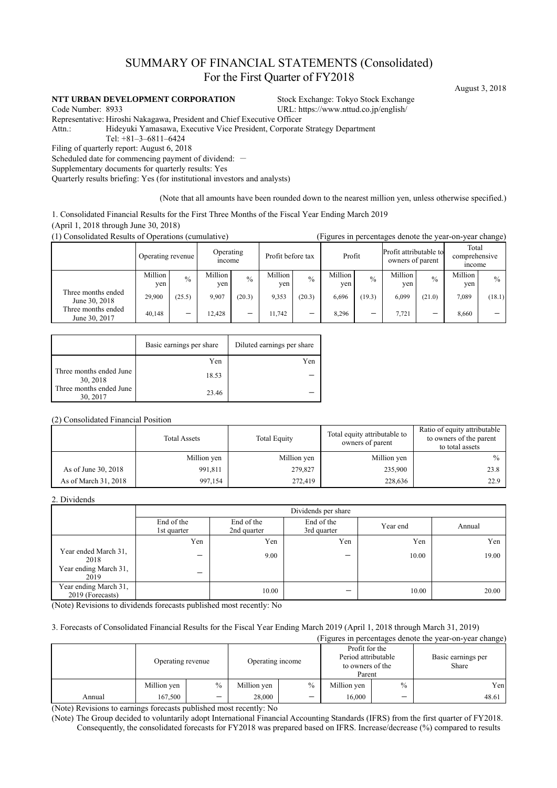# SUMMARY OF FINANCIAL STATEMENTS (Consolidated) For the First Quarter of FY2018

### **NTT URBAN DEVELOPMENT CORPORATION** Stock Exchange: Tokyo Stock Exchange

Code Number: 8933 URL: https://www.nttud.co.jp/english/ Representative: Hiroshi Nakagawa, President and Chief Executive Officer

Attn.: Hideyuki Yamasawa, Executive Vice President, Corporate Strategy Department

Tel: +81–3–6811–6424

Filing of quarterly report: August 6, 2018

Scheduled date for commencing payment of dividend: -

Supplementary documents for quarterly results: Yes

Quarterly results briefing: Yes (for institutional investors and analysts)

(Note that all amounts have been rounded down to the nearest million yen, unless otherwise specified.)

1. Consolidated Financial Results for the First Three Months of the Fiscal Year Ending March 2019

(April 1, 2018 through June 30, 2018)

(1) Consolidated Results of Operations (cumulative) (Figures in percentages denote the year-on-year change)

|                                     | Operating revenue |               | Operating<br>income |               | Profit before tax |               | Profit           |               | Profit attributable to<br>owners of parent |               | Total<br>comprehensive<br>income |               |
|-------------------------------------|-------------------|---------------|---------------------|---------------|-------------------|---------------|------------------|---------------|--------------------------------------------|---------------|----------------------------------|---------------|
|                                     | Million<br>ven    | $\frac{0}{0}$ | Million<br>ven      | $\frac{0}{0}$ | Million<br>yen    | $\frac{0}{0}$ | Million  <br>ven | $\frac{0}{0}$ | Million<br>ven                             | $\frac{0}{0}$ | Million<br>yen                   | $\frac{0}{0}$ |
| Three months ended<br>June 30, 2018 | 29.900            | (25.5)        | 9.907               | (20.3)        | 9.353             | (20.3)        | 6,696            | (19.3)        | 6,099                                      | (21.0)        | 7.089                            | (18.1)        |
| Three months ended<br>June 30, 2017 | 40.148            |               | 12,428              |               | 11.742            |               | 8,296            | –             | 7,721                                      |               | 8,660                            |               |

|                                     | Basic earnings per share | Diluted earnings per share |
|-------------------------------------|--------------------------|----------------------------|
|                                     | Yen                      | Yen                        |
| Three months ended June<br>30, 2018 | 18.53                    |                            |
| Three months ended June<br>30, 2017 | 23.46                    |                            |

#### (2) Consolidated Financial Position

|                      | <b>Total Assets</b> | <b>Total Equity</b> | Total equity attributable to<br>owners of parent | Ratio of equity attributable<br>to owners of the parent<br>to total assets |
|----------------------|---------------------|---------------------|--------------------------------------------------|----------------------------------------------------------------------------|
|                      | Million yen         | Million yen         | Million yen                                      |                                                                            |
| As of June 30, 2018  | 991,811             | 279,827             | 235,900                                          | 23.8                                                                       |
| As of March 31, 2018 | 997,154             | 272,419             | 228.636                                          | 22.9                                                                       |

### 2. Dividends

|                                           | Dividends per share       |                           |                           |          |        |  |  |  |  |
|-------------------------------------------|---------------------------|---------------------------|---------------------------|----------|--------|--|--|--|--|
|                                           | End of the<br>1st quarter | End of the<br>2nd quarter | End of the<br>3rd quarter | Year end | Annual |  |  |  |  |
|                                           | Yen                       | Yen                       | Yen                       | Yen      | Yen    |  |  |  |  |
| Year ended March 31,<br>2018              | $\overline{\phantom{0}}$  | 9.00                      | $\overline{\phantom{0}}$  | 10.00    | 19.00  |  |  |  |  |
| Year ending March 31,<br>2019             | -                         |                           |                           |          |        |  |  |  |  |
| Year ending March 31,<br>2019 (Forecasts) |                           | 10.00                     |                           | 10.00    | 20.00  |  |  |  |  |

(Note) Revisions to dividends forecasts published most recently: No

#### 3. Forecasts of Consolidated Financial Results for the Fiscal Year Ending March 2019 (April 1, 2018 through March 31, 2019)

|                                                            |                   |                          |                           |               |                                                                     |                          | (Figures in percentages denote the year-on-year change) |
|------------------------------------------------------------|-------------------|--------------------------|---------------------------|---------------|---------------------------------------------------------------------|--------------------------|---------------------------------------------------------|
|                                                            | Operating revenue |                          | Operating income          |               | Profit for the<br>Period attributable<br>to owners of the<br>Parent |                          | Basic earnings per<br>Share                             |
|                                                            | Million yen       | $\frac{0}{0}$            | Million yen               | $\frac{0}{0}$ | Million yen                                                         | $\frac{0}{0}$            | Yenl                                                    |
| Annual                                                     | 167,500           | $\overline{\phantom{0}}$ | 28,000                    | -             | 16,000                                                              | $\overline{\phantom{0}}$ | 48.61                                                   |
| $\alpha$ $\alpha$ $\beta$ $\alpha$ $\beta$ $\beta$ $\beta$ |                   | 1.11.1                   | $\mathbf{1}$ $\mathbf{1}$ |               |                                                                     |                          |                                                         |

(Note) Revisions to earnings forecasts published most recently: No

(Note) The Group decided to voluntarily adopt International Financial Accounting Standards (IFRS) from the first quarter of FY2018. Consequently, the consolidated forecasts for FY2018 was prepared based on IFRS. Increase/decrease (%) compared to results

August 3, 2018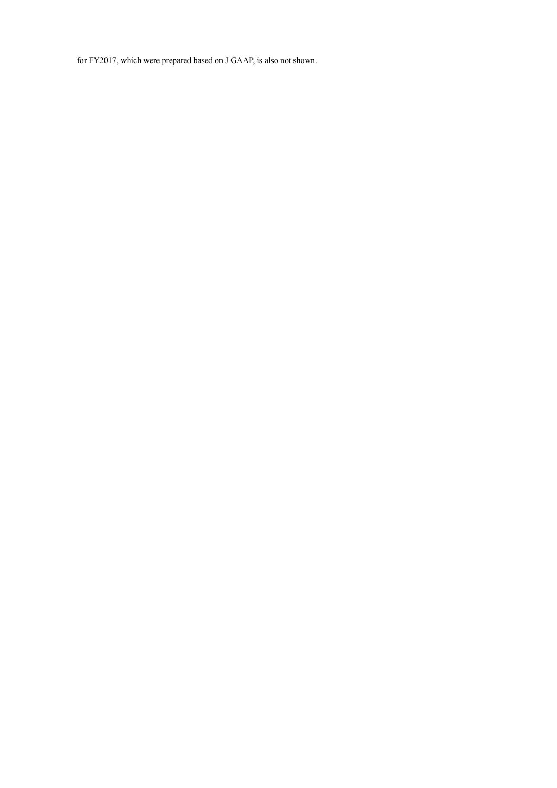for FY2017, which were prepared based on J GAAP, is also not shown.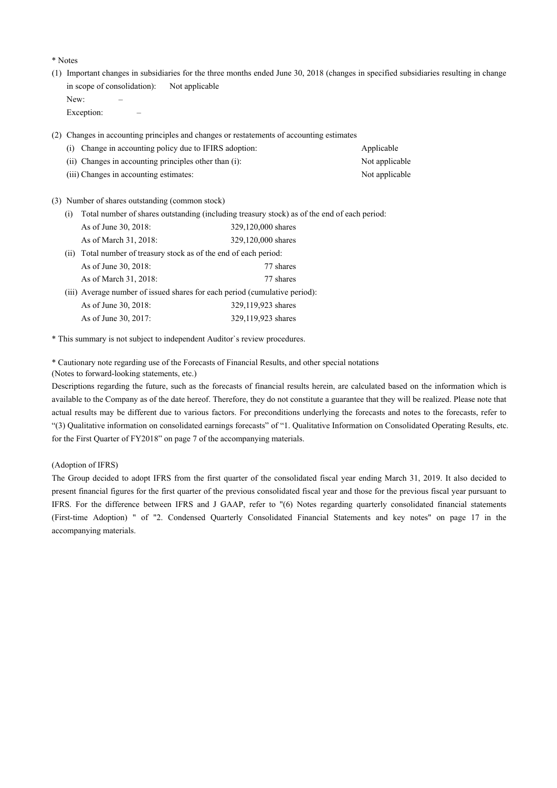\* Notes

(1) Important changes in subsidiaries for the three months ended June 30, 2018 (changes in specified subsidiaries resulting in change in scope of consolidation): Not applicable New:

Exception:

(2) Changes in accounting principles and changes or restatements of accounting estimates

| (i) Change in accounting policy due to IFIRS adoption: | Applicable     |
|--------------------------------------------------------|----------------|
| (ii) Changes in accounting principles other than (i):  | Not applicable |
| (iii) Changes in accounting estimates:                 | Not applicable |

(3) Number of shares outstanding (common stock)

(i) Total number of shares outstanding (including treasury stock) as of the end of each period:

| As of June 30, 2018:                                             | 329,120,000 shares |
|------------------------------------------------------------------|--------------------|
| As of March 31, 2018:                                            | 329,120,000 shares |
| (ii) Total number of treasury stock as of the end of each period |                    |

| $\mu$ row named or neasaly stock as or the end of each period.             |                    |  |  |  |
|----------------------------------------------------------------------------|--------------------|--|--|--|
| As of June 30, 2018:                                                       | 77 shares          |  |  |  |
| As of March 31, 2018:                                                      | 77 shares          |  |  |  |
| (iii) Average number of issued shares for each period (cumulative period): |                    |  |  |  |
| As of June 30, 2018:                                                       | 329,119,923 shares |  |  |  |
| As of June 30, 2017:                                                       | 329,119,923 shares |  |  |  |

\* This summary is not subject to independent Auditor`s review procedures.

\* Cautionary note regarding use of the Forecasts of Financial Results, and other special notations

(Notes to forward-looking statements, etc.)

Descriptions regarding the future, such as the forecasts of financial results herein, are calculated based on the information which is available to the Company as of the date hereof. Therefore, they do not constitute a guarantee that they will be realized. Please note that actual results may be different due to various factors. For preconditions underlying the forecasts and notes to the forecasts, refer to "(3) Qualitative information on consolidated earnings forecasts" of "1. Qualitative Information on Consolidated Operating Results, etc. for the First Quarter of FY2018" on page 7 of the accompanying materials.

### (Adoption of IFRS)

The Group decided to adopt IFRS from the first quarter of the consolidated fiscal year ending March 31, 2019. It also decided to present financial figures for the first quarter of the previous consolidated fiscal year and those for the previous fiscal year pursuant to IFRS. For the difference between IFRS and J GAAP, refer to "(6) Notes regarding quarterly consolidated financial statements (First-time Adoption) " of "2. Condensed Quarterly Consolidated Financial Statements and key notes" on page 17 in the accompanying materials.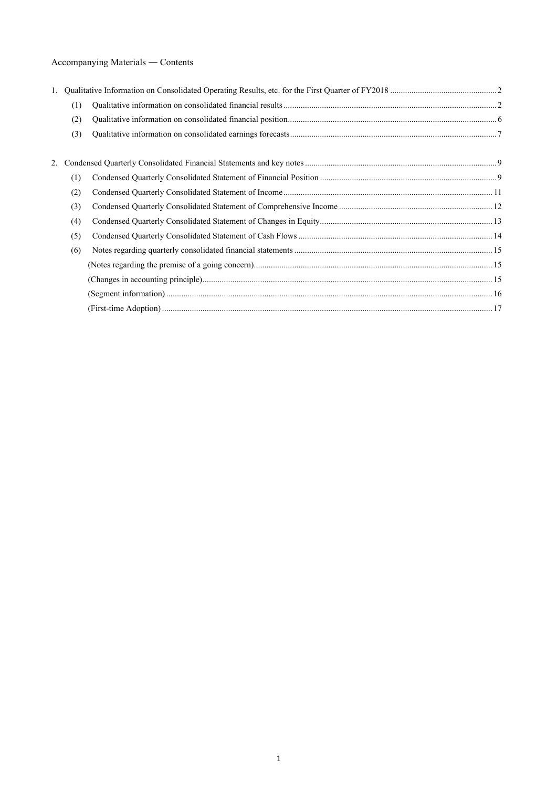# Accompanying Materials ― Contents

|    | (1) |  |
|----|-----|--|
|    | (2) |  |
|    | (3) |  |
| 2. |     |  |
|    |     |  |
|    | (1) |  |
|    | (2) |  |
|    | (3) |  |
|    | (4) |  |
|    | (5) |  |
|    | (6) |  |
|    |     |  |
|    |     |  |
|    |     |  |
|    |     |  |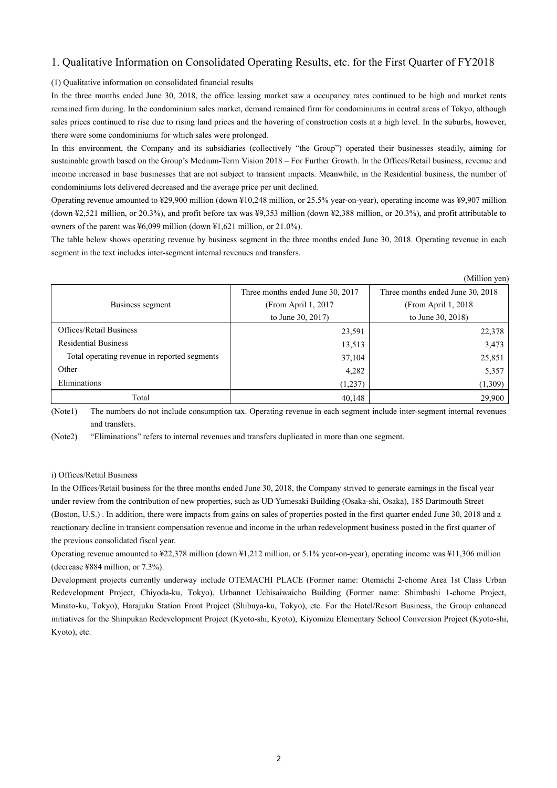### 1. Qualitative Information on Consolidated Operating Results, etc. for the First Quarter of FY2018

### (1) Qualitative information on consolidated financial results

In the three months ended June 30, 2018, the office leasing market saw a occupancy rates continued to be high and market rents remained firm during. In the condominium sales market, demand remained firm for condominiums in central areas of Tokyo, although sales prices continued to rise due to rising land prices and the hovering of construction costs at a high level. In the suburbs, however, there were some condominiums for which sales were prolonged.

In this environment, the Company and its subsidiaries (collectively "the Group") operated their businesses steadily, aiming for sustainable growth based on the Group's Medium-Term Vision 2018 – For Further Growth. In the Offices/Retail business, revenue and income increased in base businesses that are not subject to transient impacts. Meanwhile, in the Residential business, the number of condominiums lots delivered decreased and the average price per unit declined.

Operating revenue amounted to ¥29,900 million (down ¥10,248 million, or 25.5% year-on-year), operating income was ¥9,907 million (down ¥2,521 million, or 20.3%), and profit before tax was ¥9,353 million (down ¥2,388 million, or 20.3%), and profit attributable to owners of the parent was ¥6,099 million (down ¥1,621 million, or 21.0%).

The table below shows operating revenue by business segment in the three months ended June 30, 2018. Operating revenue in each segment in the text includes inter-segment internal revenues and transfers.

| (Million yen)                                |                                  |                                  |  |  |  |  |
|----------------------------------------------|----------------------------------|----------------------------------|--|--|--|--|
|                                              | Three months ended June 30, 2017 | Three months ended June 30, 2018 |  |  |  |  |
| Business segment                             | (From April 1, 2017)             | (From April 1, 2018)             |  |  |  |  |
|                                              | to June 30, 2017)                | to June 30, 2018)                |  |  |  |  |
| <b>Offices/Retail Business</b>               | 23,591                           | 22,378                           |  |  |  |  |
| <b>Residential Business</b>                  | 13,513                           | 3,473                            |  |  |  |  |
| Total operating revenue in reported segments | 37,104                           | 25,851                           |  |  |  |  |
| Other                                        | 4,282                            | 5,357                            |  |  |  |  |
| Eliminations                                 | (1,237)                          | (1,309)                          |  |  |  |  |
| Total                                        | 40,148                           | 29,900                           |  |  |  |  |

(Note1) The numbers do not include consumption tax. Operating revenue in each segment include inter-segment internal revenues and transfers.

(Note2) "Eliminations" refers to internal revenues and transfers duplicated in more than one segment.

### i) Offices/Retail Business

In the Offices/Retail business for the three months ended June 30, 2018, the Company strived to generate earnings in the fiscal year under review from the contribution of new properties, such as UD Yumesaki Building (Osaka-shi, Osaka), 185 Dartmouth Street (Boston, U.S.) . In addition, there were impacts from gains on sales of properties posted in the first quarter ended June 30, 2018 and a reactionary decline in transient compensation revenue and income in the urban redevelopment business posted in the first quarter of the previous consolidated fiscal year.

Operating revenue amounted to ¥22,378 million (down ¥1,212 million, or 5.1% year-on-year), operating income was ¥11,306 million (decrease ¥884 million, or 7.3%).

Development projects currently underway include OTEMACHI PLACE (Former name: Otemachi 2-chome Area 1st Class Urban Redevelopment Project, Chiyoda-ku, Tokyo), Urbannet Uchisaiwaicho Building (Former name: Shimbashi 1-chome Project, Minato-ku, Tokyo), Harajuku Station Front Project (Shibuya-ku, Tokyo), etc. For the Hotel/Resort Business, the Group enhanced initiatives for the Shinpukan Redevelopment Project (Kyoto-shi, Kyoto), Kiyomizu Elementary School Conversion Project (Kyoto-shi, Kyoto), etc.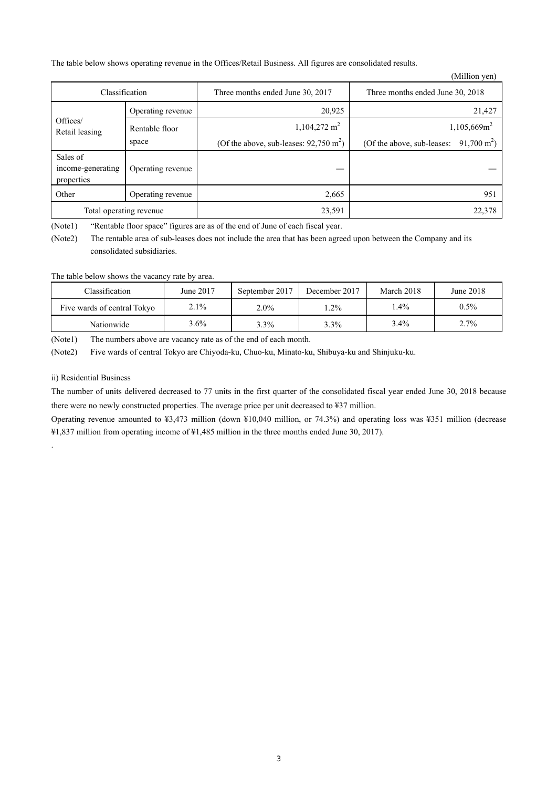The table below shows operating revenue in the Offices/Retail Business. All figures are consolidated results.

|                                             | (Million yen)     |                                                   |                                                    |  |  |  |  |  |
|---------------------------------------------|-------------------|---------------------------------------------------|----------------------------------------------------|--|--|--|--|--|
| Classification                              |                   | Three months ended June 30, 2017                  | Three months ended June 30, 2018                   |  |  |  |  |  |
|                                             | Operating revenue | 20,925                                            | 21,427                                             |  |  |  |  |  |
| Offices/<br>Retail leasing                  | Rentable floor    | $1,104,272 \text{ m}^2$                           | $1,105,669m^2$                                     |  |  |  |  |  |
|                                             | space             | (Of the above, sub-leases: $92,750 \text{ m}^2$ ) | $91,700 \text{ m}^2$<br>(Of the above, sub-leases: |  |  |  |  |  |
| Sales of<br>income-generating<br>properties | Operating revenue |                                                   |                                                    |  |  |  |  |  |
| Other                                       | Operating revenue | 2,665                                             | 951                                                |  |  |  |  |  |
| Total operating revenue                     |                   | 23,591                                            | 22,378                                             |  |  |  |  |  |

(Note1) "Rentable floor space" figures are as of the end of June of each fiscal year.

(Note2) The rentable area of sub-leases does not include the area that has been agreed upon between the Company and its consolidated subsidiaries.

The table below shows the vacancy rate by area.

| Classification              | June 2017 | September 2017 | December 2017 | March 2018 | June 2018 |
|-----------------------------|-----------|----------------|---------------|------------|-----------|
| Five wards of central Tokyo | $2.1\%$   | $2.0\%$        | $.2\%$        | $4\%$      | $0.5\%$   |
| Nationwide                  | $3.6\%$   | 3.3%           | $3.3\%$       | $3.4\%$    | 2.7%      |

(Note1) The numbers above are vacancy rate as of the end of each month.

(Note2) Five wards of central Tokyo are Chiyoda-ku, Chuo-ku, Minato-ku, Shibuya-ku and Shinjuku-ku.

ii) Residential Business

.

The number of units delivered decreased to 77 units in the first quarter of the consolidated fiscal year ended June 30, 2018 because there were no newly constructed properties. The average price per unit decreased to ¥37 million.

Operating revenue amounted to ¥3,473 million (down ¥10,040 million, or 74.3%) and operating loss was ¥351 million (decrease ¥1,837 million from operating income of ¥1,485 million in the three months ended June 30, 2017).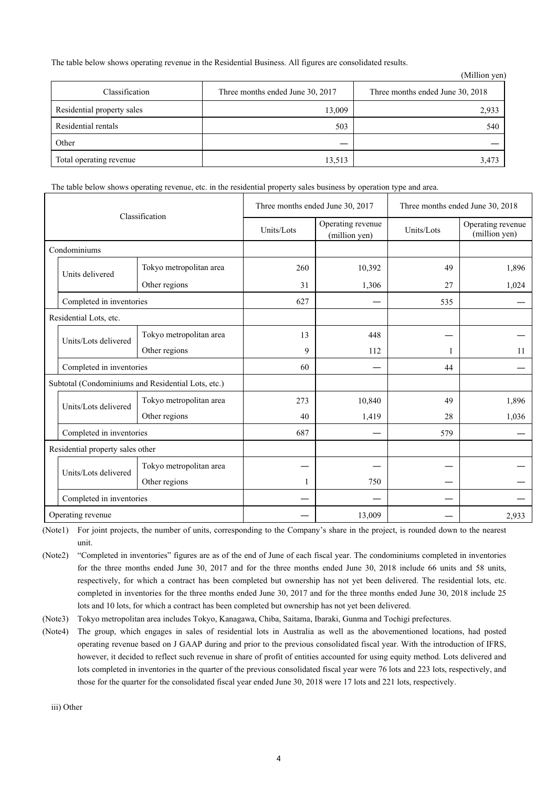The table below shows operating revenue in the Residential Business. All figures are consolidated results.

|                            |                                  | (Million yen)                    |
|----------------------------|----------------------------------|----------------------------------|
| Classification             | Three months ended June 30, 2017 | Three months ended June 30, 2018 |
| Residential property sales | 13,009                           | 2,933                            |
| Residential rentals        | 503                              | 540                              |
| Other                      |                                  |                                  |
| Total operating revenue    | 13,513                           | 3,473                            |

The table below shows operating revenue, etc. in the residential property sales business by operation type and area.

| Classification |                                                    | Three months ended June 30, 2017 |                                                  | Three months ended June 30, 2018 |            |                                    |
|----------------|----------------------------------------------------|----------------------------------|--------------------------------------------------|----------------------------------|------------|------------------------------------|
|                |                                                    |                                  | Operating revenue<br>Units/Lots<br>(million yen) |                                  | Units/Lots | Operating revenue<br>(million yen) |
|                | Condominiums                                       |                                  |                                                  |                                  |            |                                    |
|                | Units delivered                                    | Tokyo metropolitan area          | 260                                              | 10,392                           | 49         | 1,896                              |
|                |                                                    | Other regions                    | 31                                               | 1,306                            | 27         | 1,024                              |
|                | Completed in inventories                           |                                  | 627                                              |                                  | 535        |                                    |
|                | Residential Lots, etc.                             |                                  |                                                  |                                  |            |                                    |
|                | Units/Lots delivered                               | Tokyo metropolitan area          | 13                                               | 448                              |            |                                    |
|                |                                                    | Other regions                    | 9                                                | 112                              |            | 11                                 |
|                | Completed in inventories                           |                                  | 60                                               |                                  | 44         |                                    |
|                | Subtotal (Condominiums and Residential Lots, etc.) |                                  |                                                  |                                  |            |                                    |
|                | Units/Lots delivered                               | Tokyo metropolitan area          | 273                                              | 10,840                           | 49         | 1,896                              |
|                |                                                    | Other regions                    | 40                                               | 1,419                            | 28         | 1,036                              |
|                | Completed in inventories                           |                                  | 687                                              |                                  | 579        |                                    |
|                | Residential property sales other                   |                                  |                                                  |                                  |            |                                    |
|                | Units/Lots delivered                               | Tokyo metropolitan area          |                                                  |                                  |            |                                    |
|                |                                                    | Other regions                    | 1                                                | 750                              |            |                                    |
|                | Completed in inventories                           |                                  |                                                  |                                  |            |                                    |
|                | Operating revenue                                  |                                  |                                                  | 13,009                           |            | 2,933                              |

(Note1) For joint projects, the number of units, corresponding to the Company's share in the project, is rounded down to the nearest unit.

(Note2) "Completed in inventories" figures are as of the end of June of each fiscal year. The condominiums completed in inventories for the three months ended June 30, 2017 and for the three months ended June 30, 2018 include 66 units and 58 units, respectively, for which a contract has been completed but ownership has not yet been delivered. The residential lots, etc. completed in inventories for the three months ended June 30, 2017 and for the three months ended June 30, 2018 include 25 lots and 10 lots, for which a contract has been completed but ownership has not yet been delivered.

(Note3) Tokyo metropolitan area includes Tokyo, Kanagawa, Chiba, Saitama, Ibaraki, Gunma and Tochigi prefectures.

(Note4) The group, which engages in sales of residential lots in Australia as well as the abovementioned locations, had posted operating revenue based on J GAAP during and prior to the previous consolidated fiscal year. With the introduction of IFRS, however, it decided to reflect such revenue in share of profit of entities accounted for using equity method. Lots delivered and lots completed in inventories in the quarter of the previous consolidated fiscal year were 76 lots and 223 lots, respectively, and those for the quarter for the consolidated fiscal year ended June 30, 2018 were 17 lots and 221 lots, respectively.

iii) Other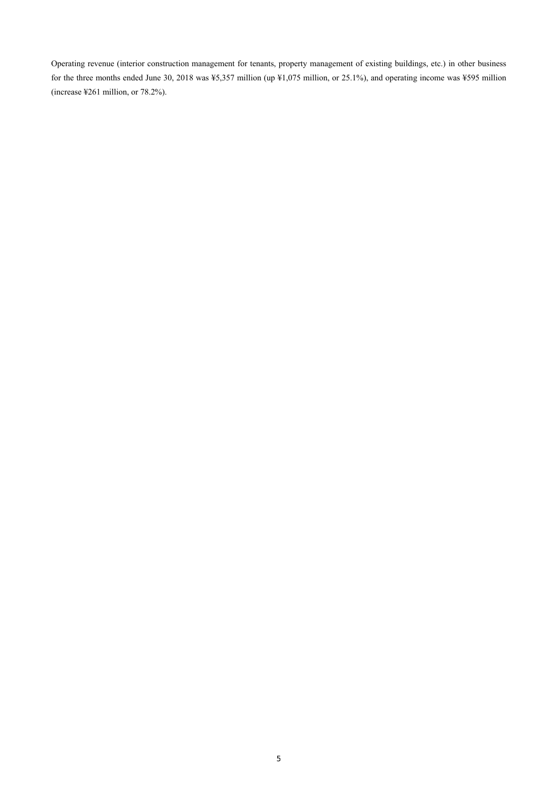Operating revenue (interior construction management for tenants, property management of existing buildings, etc.) in other business for the three months ended June 30, 2018 was ¥5,357 million (up ¥1,075 million, or 25.1%), and operating income was ¥595 million (increase ¥261 million, or 78.2%).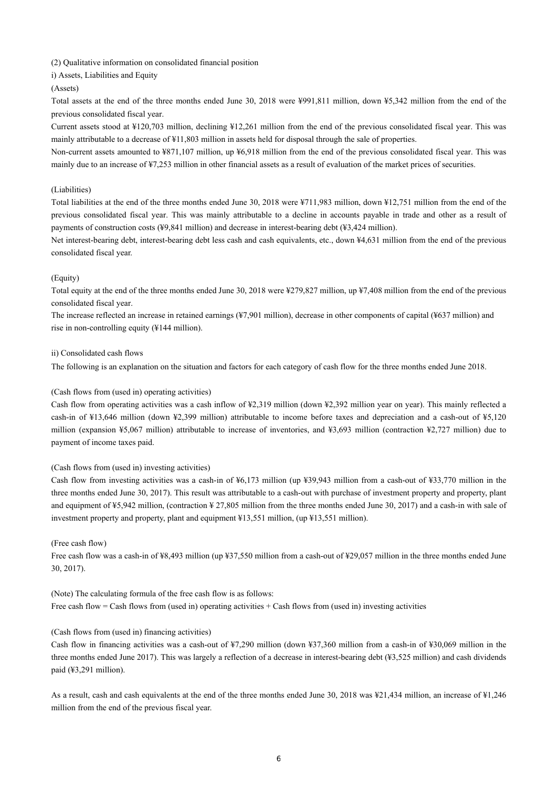### (2) Qualitative information on consolidated financial position

### i) Assets, Liabilities and Equity

### (Assets)

Total assets at the end of the three months ended June 30, 2018 were ¥991,811 million, down ¥5,342 million from the end of the previous consolidated fiscal year.

Current assets stood at ¥120,703 million, declining ¥12,261 million from the end of the previous consolidated fiscal year. This was mainly attributable to a decrease of ¥11,803 million in assets held for disposal through the sale of properties.

Non-current assets amounted to ¥871,107 million, up ¥6,918 million from the end of the previous consolidated fiscal year. This was mainly due to an increase of ¥7,253 million in other financial assets as a result of evaluation of the market prices of securities.

### (Liabilities)

Total liabilities at the end of the three months ended June 30, 2018 were ¥711,983 million, down ¥12,751 million from the end of the previous consolidated fiscal year. This was mainly attributable to a decline in accounts payable in trade and other as a result of payments of construction costs (¥9,841 million) and decrease in interest-bearing debt (¥3,424 million).

Net interest-bearing debt, interest-bearing debt less cash and cash equivalents, etc., down ¥4,631 million from the end of the previous consolidated fiscal year.

### (Equity)

Total equity at the end of the three months ended June 30, 2018 were ¥279,827 million, up ¥7,408 million from the end of the previous consolidated fiscal year.

The increase reflected an increase in retained earnings (¥7,901 million), decrease in other components of capital (¥637 million) and rise in non-controlling equity (¥144 million).

### ii) Consolidated cash flows

The following is an explanation on the situation and factors for each category of cash flow for the three months ended June 2018.

### (Cash flows from (used in) operating activities)

Cash flow from operating activities was a cash inflow of ¥2,319 million (down ¥2,392 million year on year). This mainly reflected a cash-in of ¥13,646 million (down ¥2,399 million) attributable to income before taxes and depreciation and a cash-out of ¥5,120 million (expansion ¥5,067 million) attributable to increase of inventories, and ¥3,693 million (contraction ¥2,727 million) due to payment of income taxes paid.

### (Cash flows from (used in) investing activities)

Cash flow from investing activities was a cash-in of  $\frac{1}{2}$  million (up  $\frac{1}{2}$ 9.943 million from a cash-out of  $\frac{1}{2}$ 3.770 million in the three months ended June 30, 2017). This result was attributable to a cash-out with purchase of investment property and property, plant and equipment of ¥5,942 million, (contraction ¥ 27,805 million from the three months ended June 30, 2017) and a cash-in with sale of investment property and property, plant and equipment ¥13,551 million, (up ¥13,551 million).

### (Free cash flow)

Free cash flow was a cash-in of ¥8,493 million (up ¥37,550 million from a cash-out of ¥29,057 million in the three months ended June 30, 2017).

### (Note) The calculating formula of the free cash flow is as follows:

Free cash flow = Cash flows from (used in) operating activities  $+$  Cash flows from (used in) investing activities

### (Cash flows from (used in) financing activities)

Cash flow in financing activities was a cash-out of ¥7,290 million (down ¥37,360 million from a cash-in of ¥30,069 million in the three months ended June 2017). This was largely a reflection of a decrease in interest-bearing debt (¥3,525 million) and cash dividends paid (¥3,291 million).

As a result, cash and cash equivalents at the end of the three months ended June 30, 2018 was ¥21,434 million, an increase of ¥1,246 million from the end of the previous fiscal year.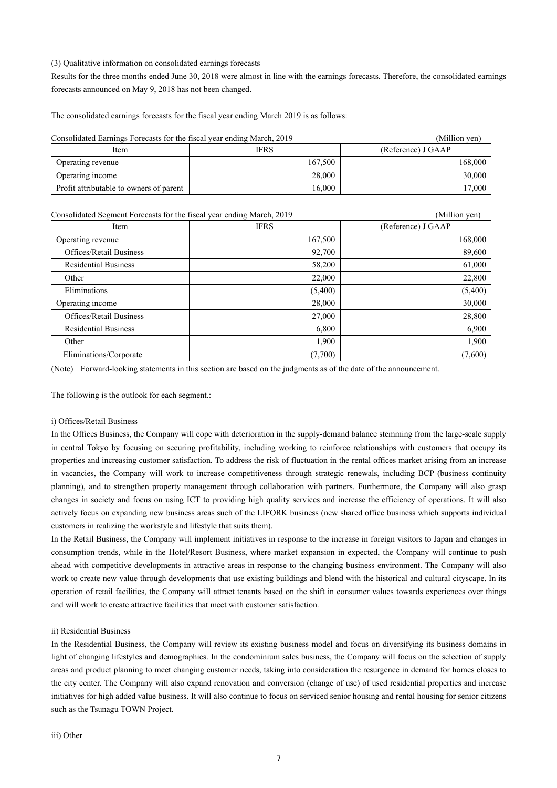(3) Qualitative information on consolidated earnings forecasts

Results for the three months ended June 30, 2018 were almost in line with the earnings forecasts. Therefore, the consolidated earnings forecasts announced on May 9, 2018 has not been changed.

The consolidated earnings forecasts for the fiscal year ending March 2019 is as follows:

| Consolidated Earnings Forecasts for the fiscal year ending March, 2019 | (Million yen) |                    |
|------------------------------------------------------------------------|---------------|--------------------|
| Item                                                                   | <b>IFRS</b>   | (Reference) J GAAP |
| Operating revenue                                                      | 167.500       | 168,000            |
| Operating income                                                       | 28,000        | 30,000             |
| Profit attributable to owners of parent                                | 16.000        | 17,000             |

| Consolidated Segment Forecasts for the fiscal year ending March, 2019 | (Million yen) |                    |
|-----------------------------------------------------------------------|---------------|--------------------|
| Item                                                                  | <b>IFRS</b>   | (Reference) J GAAP |
| Operating revenue                                                     | 167,500       | 168,000            |
| Offices/Retail Business                                               | 92,700        | 89,600             |
| <b>Residential Business</b>                                           | 58,200        | 61,000             |
| Other                                                                 | 22,000        | 22,800             |
| Eliminations                                                          | (5,400)       | (5,400)            |
| Operating income                                                      | 28,000        | 30,000             |
| <b>Offices/Retail Business</b>                                        | 27,000        | 28,800             |
| <b>Residential Business</b>                                           | 6,800         | 6,900              |
| Other                                                                 | 1,900         | 1,900              |
| Eliminations/Corporate                                                | (7,700)       | (7,600)            |

(Note) Forward-looking statements in this section are based on the judgments as of the date of the announcement.

The following is the outlook for each segment.:

#### i) Offices/Retail Business

In the Offices Business, the Company will cope with deterioration in the supply-demand balance stemming from the large-scale supply in central Tokyo by focusing on securing profitability, including working to reinforce relationships with customers that occupy its properties and increasing customer satisfaction. To address the risk of fluctuation in the rental offices market arising from an increase in vacancies, the Company will work to increase competitiveness through strategic renewals, including BCP (business continuity planning), and to strengthen property management through collaboration with partners. Furthermore, the Company will also grasp changes in society and focus on using ICT to providing high quality services and increase the efficiency of operations. It will also actively focus on expanding new business areas such of the LIFORK business (new shared office business which supports individual customers in realizing the workstyle and lifestyle that suits them).

In the Retail Business, the Company will implement initiatives in response to the increase in foreign visitors to Japan and changes in consumption trends, while in the Hotel/Resort Business, where market expansion in expected, the Company will continue to push ahead with competitive developments in attractive areas in response to the changing business environment. The Company will also work to create new value through developments that use existing buildings and blend with the historical and cultural cityscape. In its operation of retail facilities, the Company will attract tenants based on the shift in consumer values towards experiences over things and will work to create attractive facilities that meet with customer satisfaction.

### ii) Residential Business

In the Residential Business, the Company will review its existing business model and focus on diversifying its business domains in light of changing lifestyles and demographics. In the condominium sales business, the Company will focus on the selection of supply areas and product planning to meet changing customer needs, taking into consideration the resurgence in demand for homes closes to the city center. The Company will also expand renovation and conversion (change of use) of used residential properties and increase initiatives for high added value business. It will also continue to focus on serviced senior housing and rental housing for senior citizens such as the Tsunagu TOWN Project.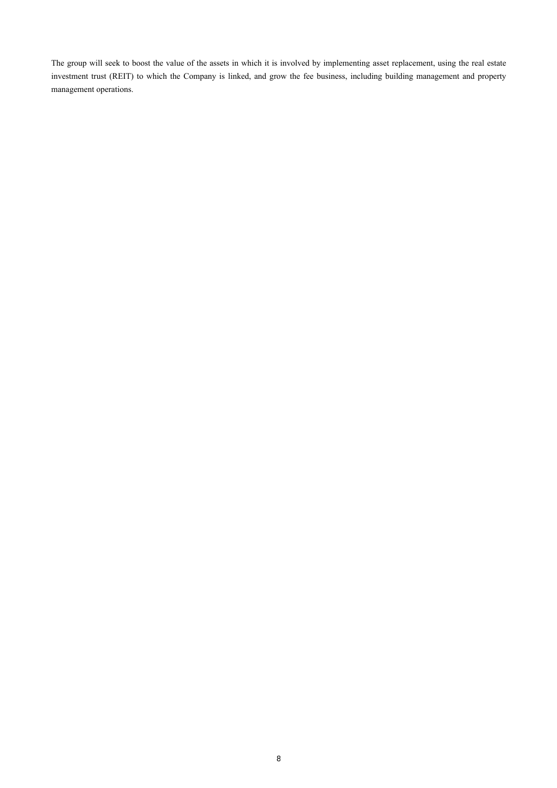The group will seek to boost the value of the assets in which it is involved by implementing asset replacement, using the real estate investment trust (REIT) to which the Company is linked, and grow the fee business, including building management and property management operations.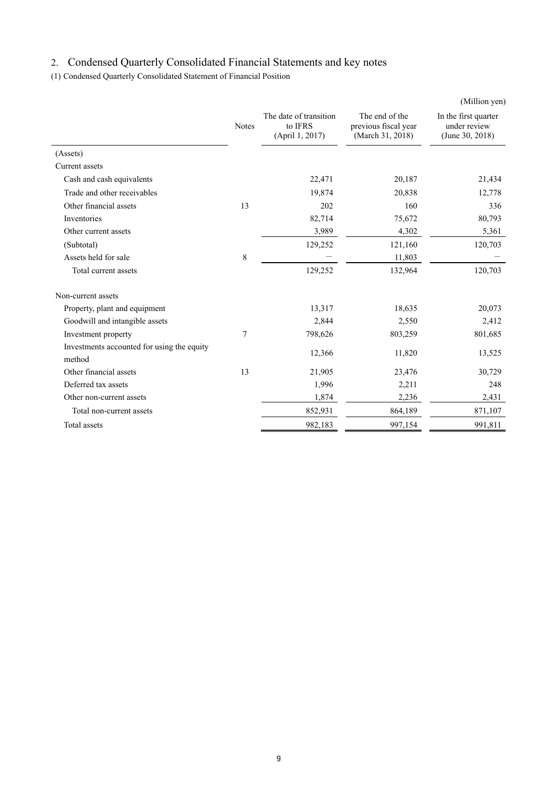# 2. Condensed Quarterly Consolidated Financial Statements and key notes

(1) Condensed Quarterly Consolidated Statement of Financial Position

|                                                      |              |                                                      |                                                            | (Million yen)                                           |
|------------------------------------------------------|--------------|------------------------------------------------------|------------------------------------------------------------|---------------------------------------------------------|
|                                                      | <b>Notes</b> | The date of transition<br>to IFRS<br>(April 1, 2017) | The end of the<br>previous fiscal year<br>(March 31, 2018) | In the first quarter<br>under review<br>(June 30, 2018) |
| (Assets)                                             |              |                                                      |                                                            |                                                         |
| Current assets                                       |              |                                                      |                                                            |                                                         |
| Cash and cash equivalents                            |              | 22,471                                               | 20,187                                                     | 21,434                                                  |
| Trade and other receivables                          |              | 19,874                                               | 20,838                                                     | 12,778                                                  |
| Other financial assets                               | 13           | 202                                                  | 160                                                        | 336                                                     |
| Inventories                                          |              | 82,714                                               | 75,672                                                     | 80,793                                                  |
| Other current assets                                 |              | 3,989                                                | 4,302                                                      | 5,361                                                   |
| (Subtotal)                                           |              | 129,252                                              | 121,160                                                    | 120,703                                                 |
| Assets held for sale                                 | 8            |                                                      | 11,803                                                     |                                                         |
| Total current assets                                 |              | 129,252                                              | 132,964                                                    | 120,703                                                 |
| Non-current assets                                   |              |                                                      |                                                            |                                                         |
| Property, plant and equipment                        |              | 13,317                                               | 18,635                                                     | 20,073                                                  |
| Goodwill and intangible assets                       |              | 2,844                                                | 2,550                                                      | 2,412                                                   |
| Investment property                                  | 7            | 798,626                                              | 803,259                                                    | 801,685                                                 |
| Investments accounted for using the equity<br>method |              | 12,366                                               | 11,820                                                     | 13,525                                                  |
| Other financial assets                               | 13           | 21,905                                               | 23,476                                                     | 30,729                                                  |
| Deferred tax assets                                  |              | 1,996                                                | 2,211                                                      | 248                                                     |
| Other non-current assets                             |              | 1,874                                                | 2,236                                                      | 2,431                                                   |
| Total non-current assets                             |              | 852,931                                              | 864,189                                                    | 871,107                                                 |
| Total assets                                         |              | 982,183                                              | 997,154                                                    | 991,811                                                 |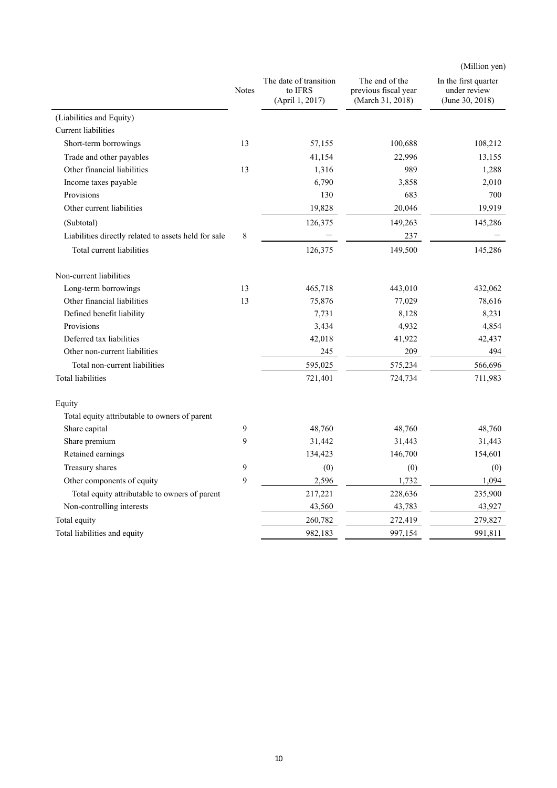|                                                      |              |                                                      |                                                            | (Million yen)                                           |
|------------------------------------------------------|--------------|------------------------------------------------------|------------------------------------------------------------|---------------------------------------------------------|
|                                                      | <b>Notes</b> | The date of transition<br>to IFRS<br>(April 1, 2017) | The end of the<br>previous fiscal year<br>(March 31, 2018) | In the first quarter<br>under review<br>(June 30, 2018) |
| (Liabilities and Equity)                             |              |                                                      |                                                            |                                                         |
| Current liabilities                                  |              |                                                      |                                                            |                                                         |
| Short-term borrowings                                | 13           | 57,155                                               | 100,688                                                    | 108,212                                                 |
| Trade and other payables                             |              | 41,154                                               | 22,996                                                     | 13,155                                                  |
| Other financial liabilities                          | 13           | 1,316                                                | 989                                                        | 1,288                                                   |
| Income taxes payable                                 |              | 6,790                                                | 3,858                                                      | 2,010                                                   |
| Provisions                                           |              | 130                                                  | 683                                                        | 700                                                     |
| Other current liabilities                            |              | 19,828                                               | 20,046                                                     | 19,919                                                  |
| (Subtotal)                                           |              | 126,375                                              | 149,263                                                    | 145,286                                                 |
| Liabilities directly related to assets held for sale | 8            |                                                      | 237                                                        |                                                         |
| Total current liabilities                            |              | 126,375                                              | 149,500                                                    | 145,286                                                 |
| Non-current liabilities                              |              |                                                      |                                                            |                                                         |
| Long-term borrowings                                 | 13           | 465,718                                              | 443,010                                                    | 432,062                                                 |
| Other financial liabilities                          | 13           | 75,876                                               | 77,029                                                     | 78,616                                                  |
| Defined benefit liability                            |              | 7,731                                                | 8,128                                                      | 8,231                                                   |
| Provisions                                           |              | 3,434                                                | 4,932                                                      | 4,854                                                   |
| Deferred tax liabilities                             |              | 42,018                                               | 41,922                                                     | 42,437                                                  |
| Other non-current liabilities                        |              | 245                                                  | 209                                                        | 494                                                     |
| Total non-current liabilities                        |              | 595,025                                              | 575,234                                                    | 566,696                                                 |
| Total liabilities                                    |              | 721,401                                              | 724,734                                                    | 711,983                                                 |
| Equity                                               |              |                                                      |                                                            |                                                         |
| Total equity attributable to owners of parent        |              |                                                      |                                                            |                                                         |
| Share capital                                        | 9            | 48,760                                               | 48,760                                                     | 48,760                                                  |
| Share premium                                        | 9            | 31,442                                               | 31,443                                                     | 31,443                                                  |
| Retained earnings                                    |              | 134,423                                              | 146,700                                                    | 154,601                                                 |
| Treasury shares                                      | 9            | (0)                                                  | (0)                                                        | (0)                                                     |
| Other components of equity                           | 9            | 2,596                                                | 1,732                                                      | 1,094                                                   |
| Total equity attributable to owners of parent        |              | 217,221                                              | 228,636                                                    | 235,900                                                 |
| Non-controlling interests                            |              | 43,560                                               | 43,783                                                     | 43,927                                                  |
| Total equity                                         |              | 260,782                                              | 272,419                                                    | 279,827                                                 |
| Total liabilities and equity                         |              | 982,183                                              | 997,154                                                    | 991,811                                                 |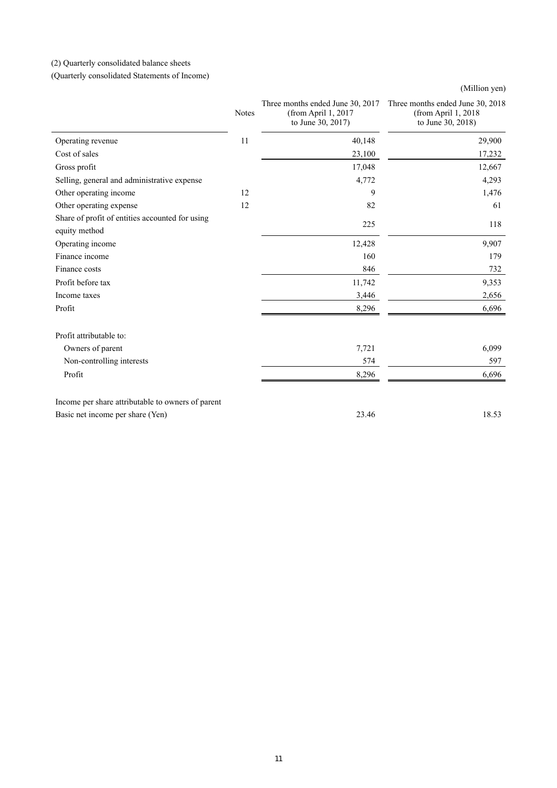### (2) Quarterly consolidated balance sheets

(Quarterly consolidated Statements of Income)

| (Million yen) |
|---------------|
|---------------|

|                                                                  | <b>Notes</b> | Three months ended June 30, 2017<br>(from April $1, 2017$<br>to June 30, 2017) | Three months ended June 30, 2018<br>(from April $1, 2018$<br>to June 30, 2018) |
|------------------------------------------------------------------|--------------|--------------------------------------------------------------------------------|--------------------------------------------------------------------------------|
| Operating revenue                                                | 11           | 40,148                                                                         | 29,900                                                                         |
| Cost of sales                                                    |              | 23,100                                                                         | 17,232                                                                         |
| Gross profit                                                     |              | 17,048                                                                         | 12,667                                                                         |
| Selling, general and administrative expense                      |              | 4,772                                                                          | 4,293                                                                          |
| Other operating income                                           | 12           | 9                                                                              | 1,476                                                                          |
| Other operating expense                                          | 12           | 82                                                                             | 61                                                                             |
| Share of profit of entities accounted for using<br>equity method |              | 225                                                                            | 118                                                                            |
| Operating income                                                 |              | 12,428                                                                         | 9,907                                                                          |
| Finance income                                                   |              | 160                                                                            | 179                                                                            |
| Finance costs                                                    |              | 846                                                                            | 732                                                                            |
| Profit before tax                                                |              | 11,742                                                                         | 9,353                                                                          |
| Income taxes                                                     |              | 3,446                                                                          | 2,656                                                                          |
| Profit                                                           |              | 8,296                                                                          | 6,696                                                                          |
| Profit attributable to:                                          |              |                                                                                |                                                                                |
| Owners of parent                                                 |              | 7,721                                                                          | 6,099                                                                          |
| Non-controlling interests                                        |              | 574                                                                            | 597                                                                            |
| Profit                                                           |              | 8,296                                                                          | 6,696                                                                          |
| Income per share attributable to owners of parent                |              |                                                                                |                                                                                |
| Basic net income per share (Yen)                                 |              | 23.46                                                                          | 18.53                                                                          |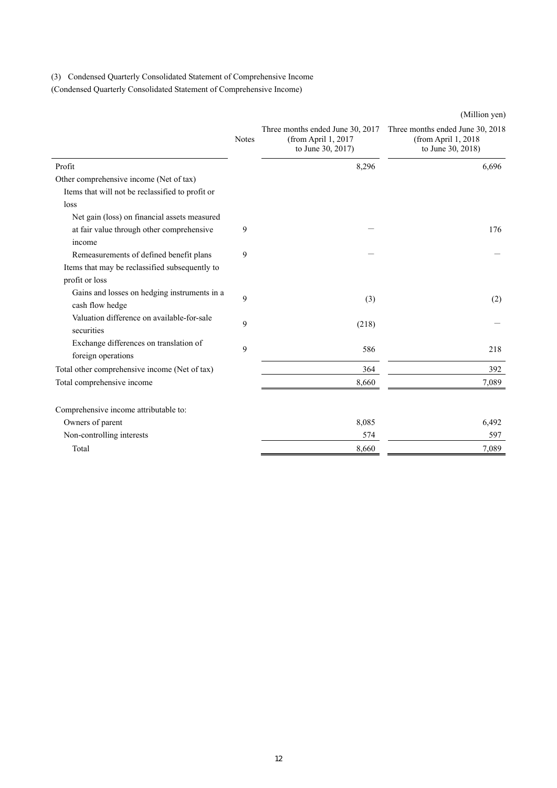### (3) Condensed Quarterly Consolidated Statement of Comprehensive Income

(Condensed Quarterly Consolidated Statement of Comprehensive Income)

| Three months ended June 30, 2017<br>(from April 1, 2017<br><b>Notes</b><br>(from April 1, 2018)<br>to June 30, 2018)<br>to June 30, 2017)<br>Profit<br>8,296<br>Other comprehensive income (Net of tax)<br>Items that will not be reclassified to profit or<br>loss<br>Net gain (loss) on financial assets measured<br>9 |                                           |  | $($ IVIIIIIIOII $\gamma$ CII $\gamma$ |
|--------------------------------------------------------------------------------------------------------------------------------------------------------------------------------------------------------------------------------------------------------------------------------------------------------------------------|-------------------------------------------|--|---------------------------------------|
|                                                                                                                                                                                                                                                                                                                          |                                           |  | Three months ended June 30, 2018      |
|                                                                                                                                                                                                                                                                                                                          |                                           |  | 6,696                                 |
|                                                                                                                                                                                                                                                                                                                          |                                           |  |                                       |
|                                                                                                                                                                                                                                                                                                                          |                                           |  |                                       |
|                                                                                                                                                                                                                                                                                                                          |                                           |  |                                       |
|                                                                                                                                                                                                                                                                                                                          |                                           |  |                                       |
|                                                                                                                                                                                                                                                                                                                          | at fair value through other comprehensive |  | 176                                   |
| income                                                                                                                                                                                                                                                                                                                   |                                           |  |                                       |
| Remeasurements of defined benefit plans<br>9                                                                                                                                                                                                                                                                             |                                           |  |                                       |
| Items that may be reclassified subsequently to                                                                                                                                                                                                                                                                           |                                           |  |                                       |
| profit or loss                                                                                                                                                                                                                                                                                                           |                                           |  |                                       |
| Gains and losses on hedging instruments in a<br>9<br>(3)<br>cash flow hedge                                                                                                                                                                                                                                              |                                           |  | (2)                                   |
| Valuation difference on available-for-sale<br>9<br>(218)<br>securities                                                                                                                                                                                                                                                   |                                           |  |                                       |
| Exchange differences on translation of<br>9<br>586                                                                                                                                                                                                                                                                       |                                           |  | 218                                   |
| foreign operations                                                                                                                                                                                                                                                                                                       |                                           |  |                                       |
| Total other comprehensive income (Net of tax)<br>364                                                                                                                                                                                                                                                                     |                                           |  | 392                                   |
| Total comprehensive income<br>8,660                                                                                                                                                                                                                                                                                      |                                           |  | 7,089                                 |
| Comprehensive income attributable to:                                                                                                                                                                                                                                                                                    |                                           |  |                                       |
| Owners of parent<br>8,085                                                                                                                                                                                                                                                                                                |                                           |  | 6,492                                 |
| Non-controlling interests<br>574                                                                                                                                                                                                                                                                                         |                                           |  | 597                                   |
| Total<br>8,660                                                                                                                                                                                                                                                                                                           |                                           |  | 7,089                                 |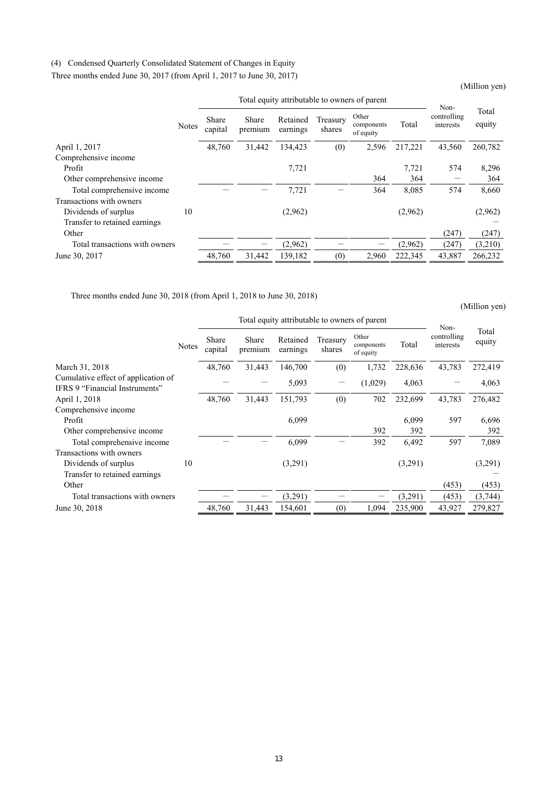### (4) Condensed Quarterly Consolidated Statement of Changes in Equity

Three months ended June 30, 2017 (from April 1, 2017 to June 30, 2017)

(Million yen)

|                                |              | Total equity attributable to owners of parent |                  |                      |                    |                                  |         | Non-                     |                 |
|--------------------------------|--------------|-----------------------------------------------|------------------|----------------------|--------------------|----------------------------------|---------|--------------------------|-----------------|
|                                | <b>Notes</b> | <b>Share</b><br>capital                       | Share<br>premium | Retained<br>earnings | Treasury<br>shares | Other<br>components<br>of equity | Total   | controlling<br>interests | Total<br>equity |
| April 1, 2017                  |              | 48,760                                        | 31,442           | 134.423              | (0)                | 2,596                            | 217,221 | 43,560                   | 260,782         |
| Comprehensive income           |              |                                               |                  |                      |                    |                                  |         |                          |                 |
| Profit                         |              |                                               |                  | 7,721                |                    |                                  | 7.721   | 574                      | 8,296           |
| Other comprehensive income     |              |                                               |                  |                      |                    | 364                              | 364     |                          | 364             |
| Total comprehensive income     |              |                                               |                  | 7,721                |                    | 364                              | 8,085   | 574                      | 8,660           |
| Transactions with owners       |              |                                               |                  |                      |                    |                                  |         |                          |                 |
| Dividends of surplus           | 10           |                                               |                  | (2,962)              |                    |                                  | (2,962) |                          | (2,962)         |
| Transfer to retained earnings  |              |                                               |                  |                      |                    |                                  |         |                          |                 |
| Other                          |              |                                               |                  |                      |                    |                                  |         | (247)                    | (247)           |
| Total transactions with owners |              |                                               |                  | (2,962)              |                    |                                  | (2,962) | (247)                    | (3,210)         |
| June 30, 2017                  |              | 48,760                                        | 31,442           | 139,182              | (0)                | 2,960                            | 222,345 | 43,887                   | 266,232         |

Three months ended June 30, 2018 (from April 1, 2018 to June 30, 2018)

|                                                                       |              | Total equity attributable to owners of parent |                  |                      |                    |                                  |         | Non-                     |                 |
|-----------------------------------------------------------------------|--------------|-----------------------------------------------|------------------|----------------------|--------------------|----------------------------------|---------|--------------------------|-----------------|
|                                                                       | <b>Notes</b> | Share<br>capital                              | Share<br>premium | Retained<br>earnings | Treasury<br>shares | Other<br>components<br>of equity | Total   | controlling<br>interests | Total<br>equity |
| March 31, 2018                                                        |              | 48,760                                        | 31,443           | 146,700              | (0)                | 1,732                            | 228,636 | 43,783                   | 272,419         |
| Cumulative effect of application of<br>IFRS 9 "Financial Instruments" |              |                                               |                  | 5,093                |                    | (1,029)                          | 4,063   |                          | 4,063           |
| April 1, 2018                                                         |              | 48,760                                        | 31,443           | 151,793              | (0)                | 702                              | 232,699 | 43,783                   | 276,482         |
| Comprehensive income                                                  |              |                                               |                  |                      |                    |                                  |         |                          |                 |
| Profit                                                                |              |                                               |                  | 6,099                |                    |                                  | 6,099   | 597                      | 6,696           |
| Other comprehensive income                                            |              |                                               |                  |                      |                    | 392                              | 392     |                          | 392             |
| Total comprehensive income                                            |              |                                               |                  | 6,099                |                    | 392                              | 6,492   | 597                      | 7,089           |
| Transactions with owners                                              |              |                                               |                  |                      |                    |                                  |         |                          |                 |
| Dividends of surplus                                                  | 10           |                                               |                  | (3,291)              |                    |                                  | (3,291) |                          | (3,291)         |
| Transfer to retained earnings                                         |              |                                               |                  |                      |                    |                                  |         |                          |                 |
| Other                                                                 |              |                                               |                  |                      |                    |                                  |         | (453)                    | (453)           |
| Total transactions with owners                                        |              |                                               |                  | (3,291)              |                    |                                  | (3,291) | (453)                    | (3,744)         |
| June 30, 2018                                                         |              | 48,760                                        | 31,443           | 154,601              | (0)                | 1,094                            | 235,900 | 43,927                   | 279,827         |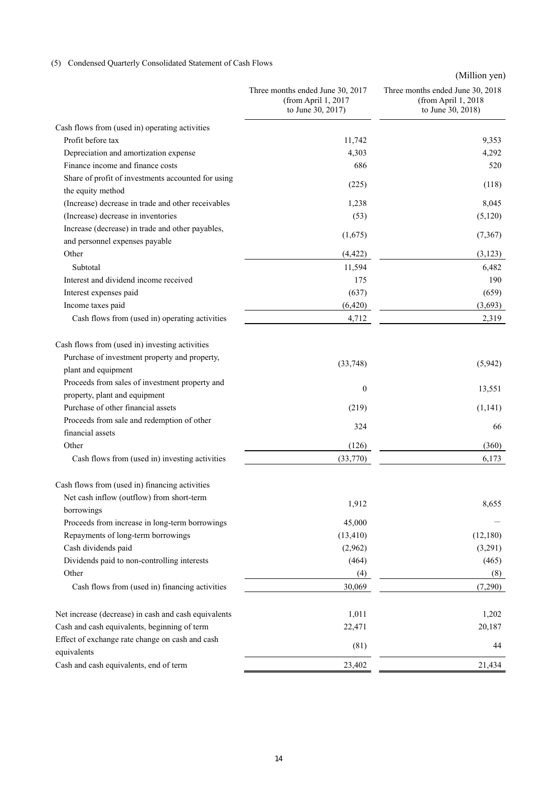### (5) Condensed Quarterly Consolidated Statement of Cash Flows

|                                                                                    |                                                                              | (Million yen)                                                                 |
|------------------------------------------------------------------------------------|------------------------------------------------------------------------------|-------------------------------------------------------------------------------|
|                                                                                    | Three months ended June 30, 2017<br>(from April 1, 2017<br>to June 30, 2017) | Three months ended June 30, 2018<br>(from April 1, 2018)<br>to June 30, 2018) |
| Cash flows from (used in) operating activities                                     |                                                                              |                                                                               |
| Profit before tax                                                                  | 11,742                                                                       | 9,353                                                                         |
| Depreciation and amortization expense                                              | 4,303                                                                        | 4,292                                                                         |
| Finance income and finance costs                                                   | 686                                                                          | 520                                                                           |
| Share of profit of investments accounted for using<br>the equity method            | (225)                                                                        | (118)                                                                         |
| (Increase) decrease in trade and other receivables                                 | 1,238                                                                        | 8,045                                                                         |
| (Increase) decrease in inventories                                                 | (53)                                                                         | (5,120)                                                                       |
| Increase (decrease) in trade and other payables,<br>and personnel expenses payable | (1,675)                                                                      | (7,367)                                                                       |
| Other                                                                              | (4, 422)                                                                     | (3, 123)                                                                      |
| Subtotal                                                                           | 11,594                                                                       | 6,482                                                                         |
| Interest and dividend income received                                              | 175                                                                          | 190                                                                           |
| Interest expenses paid                                                             | (637)                                                                        | (659)                                                                         |
| Income taxes paid                                                                  | (6, 420)                                                                     | (3,693)                                                                       |
| Cash flows from (used in) operating activities                                     | 4,712                                                                        | 2,319                                                                         |
| Cash flows from (used in) investing activities                                     |                                                                              |                                                                               |
| Purchase of investment property and property,<br>plant and equipment               | (33,748)                                                                     | (5,942)                                                                       |
| Proceeds from sales of investment property and                                     | $\boldsymbol{0}$                                                             | 13,551                                                                        |
| property, plant and equipment                                                      |                                                                              |                                                                               |
| Purchase of other financial assets                                                 | (219)                                                                        | (1,141)                                                                       |
| Proceeds from sale and redemption of other                                         | 324                                                                          | 66                                                                            |
| financial assets                                                                   |                                                                              |                                                                               |
| Other                                                                              | (126)                                                                        | (360)                                                                         |
| Cash flows from (used in) investing activities                                     | (33,770)                                                                     | 6,173                                                                         |
| Cash flows from (used in) financing activities                                     |                                                                              |                                                                               |
| Net cash inflow (outflow) from short-term<br>borrowings                            | 1,912                                                                        | 8,655                                                                         |
| Proceeds from increase in long-term borrowings                                     | 45,000                                                                       |                                                                               |
| Repayments of long-term borrowings                                                 | (13, 410)                                                                    | (12, 180)                                                                     |
| Cash dividends paid                                                                | (2,962)                                                                      | (3,291)                                                                       |
| Dividends paid to non-controlling interests                                        | (464)                                                                        | (465)                                                                         |
| Other                                                                              | (4)                                                                          | (8)                                                                           |
| Cash flows from (used in) financing activities                                     | 30,069                                                                       | (7,290)                                                                       |
| Net increase (decrease) in cash and cash equivalents                               | 1,011                                                                        | 1,202                                                                         |
| Cash and cash equivalents, beginning of term                                       | 22,471                                                                       | 20,187                                                                        |
| Effect of exchange rate change on cash and cash                                    | (81)                                                                         | 44                                                                            |
| equivalents                                                                        |                                                                              |                                                                               |
| Cash and cash equivalents, end of term                                             | 23,402                                                                       | 21,434                                                                        |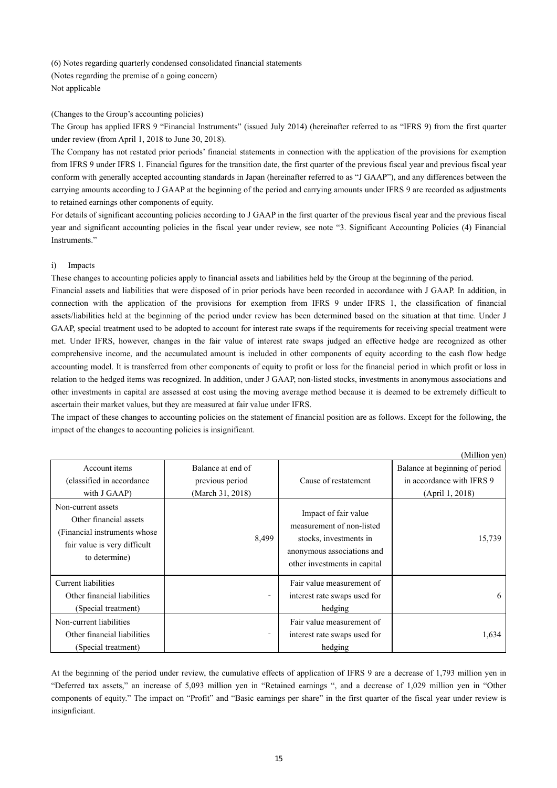(6) Notes regarding quarterly condensed consolidated financial statements (Notes regarding the premise of a going concern) Not applicable

(Changes to the Group's accounting policies)

The Group has applied IFRS 9 "Financial Instruments" (issued July 2014) (hereinafter referred to as "IFRS 9) from the first quarter under review (from April 1, 2018 to June 30, 2018).

The Company has not restated prior periods' financial statements in connection with the application of the provisions for exemption from IFRS 9 under IFRS 1. Financial figures for the transition date, the first quarter of the previous fiscal year and previous fiscal year conform with generally accepted accounting standards in Japan (hereinafter referred to as "J GAAP"), and any differences between the carrying amounts according to J GAAP at the beginning of the period and carrying amounts under IFRS 9 are recorded as adjustments to retained earnings other components of equity.

For details of significant accounting policies according to J GAAP in the first quarter of the previous fiscal year and the previous fiscal year and significant accounting policies in the fiscal year under review, see note "3. Significant Accounting Policies (4) Financial Instruments."

### i) Impacts

These changes to accounting policies apply to financial assets and liabilities held by the Group at the beginning of the period.

Financial assets and liabilities that were disposed of in prior periods have been recorded in accordance with J GAAP. In addition, in connection with the application of the provisions for exemption from IFRS 9 under IFRS 1, the classification of financial assets/liabilities held at the beginning of the period under review has been determined based on the situation at that time. Under J GAAP, special treatment used to be adopted to account for interest rate swaps if the requirements for receiving special treatment were met. Under IFRS, however, changes in the fair value of interest rate swaps judged an effective hedge are recognized as other comprehensive income, and the accumulated amount is included in other components of equity according to the cash flow hedge accounting model. It is transferred from other components of equity to profit or loss for the financial period in which profit or loss in relation to the hedged items was recognized. In addition, under J GAAP, non-listed stocks, investments in anonymous associations and other investments in capital are assessed at cost using the moving average method because it is deemed to be extremely difficult to ascertain their market values, but they are measured at fair value under IFRS.

The impact of these changes to accounting policies on the statement of financial position are as follows. Except for the following, the impact of the changes to accounting policies is insignificant.

|                                                                                                                                |                                                          |                                                                                                                                           | (Million yen)                                                                  |
|--------------------------------------------------------------------------------------------------------------------------------|----------------------------------------------------------|-------------------------------------------------------------------------------------------------------------------------------------------|--------------------------------------------------------------------------------|
| Account items<br>(classified in accordance)<br>with J GAAP)                                                                    | Balance at end of<br>previous period<br>(March 31, 2018) | Cause of restatement                                                                                                                      | Balance at beginning of period<br>in accordance with IFRS 9<br>(April 1, 2018) |
| Non-current assets<br>Other financial assets<br>(Financial instruments whose)<br>fair value is very difficult<br>to determine) | 8,499                                                    | Impact of fair value<br>measurement of non-listed<br>stocks, investments in<br>anonymous associations and<br>other investments in capital | 15,739                                                                         |
| Current liabilities<br>Other financial liabilities<br>(Special treatment)                                                      | Ξ.                                                       | Fair value measurement of<br>interest rate swaps used for<br>hedging                                                                      | 6                                                                              |
| Non-current liabilities<br>Other financial liabilities<br>(Special treatment)                                                  |                                                          | Fair value measurement of<br>interest rate swaps used for<br>hedging                                                                      | 1,634                                                                          |

At the beginning of the period under review, the cumulative effects of application of IFRS 9 are a decrease of 1,793 million yen in "Deferred tax assets," an increase of 5,093 million yen in "Retained earnings ", and a decrease of 1,029 million yen in "Other components of equity." The impact on "Profit" and "Basic earnings per share" in the first quarter of the fiscal year under review is insignficiant.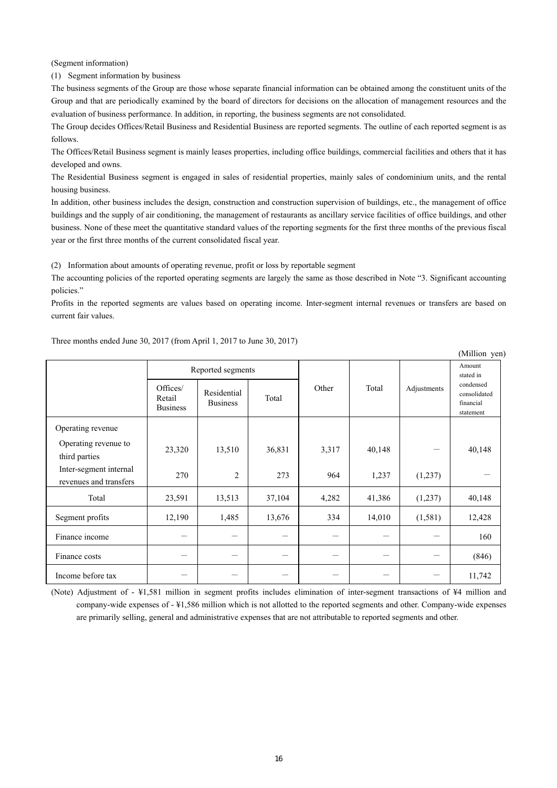(Segment information)

(1) Segment information by business

The business segments of the Group are those whose separate financial information can be obtained among the constituent units of the Group and that are periodically examined by the board of directors for decisions on the allocation of management resources and the evaluation of business performance. In addition, in reporting, the business segments are not consolidated.

The Group decides Offices/Retail Business and Residential Business are reported segments. The outline of each reported segment is as follows.

The Offices/Retail Business segment is mainly leases properties, including office buildings, commercial facilities and others that it has developed and owns.

The Residential Business segment is engaged in sales of residential properties, mainly sales of condominium units, and the rental housing business.

In addition, other business includes the design, construction and construction supervision of buildings, etc., the management of office buildings and the supply of air conditioning, the management of restaurants as ancillary service facilities of office buildings, and other business. None of these meet the quantitative standard values of the reporting segments for the first three months of the previous fiscal year or the first three months of the current consolidated fiscal year.

(2) Information about amounts of operating revenue, profit or loss by reportable segment

The accounting policies of the reported operating segments are largely the same as those described in Note "3. Significant accounting policies."

Profits in the reported segments are values based on operating income. Inter-segment internal revenues or transfers are based on current fair values.

| (Million yen)                                    |                                       |                                |        |       |        |             |                                                     |  |  |
|--------------------------------------------------|---------------------------------------|--------------------------------|--------|-------|--------|-------------|-----------------------------------------------------|--|--|
|                                                  |                                       | Reported segments              |        |       |        |             | Amount<br>stated in                                 |  |  |
|                                                  | Offices/<br>Retail<br><b>Business</b> | Residential<br><b>Business</b> | Total  | Other | Total  | Adjustments | condensed<br>consolidated<br>financial<br>statement |  |  |
| Operating revenue                                |                                       |                                |        |       |        |             |                                                     |  |  |
| Operating revenue to<br>third parties            | 23,320                                | 13,510                         | 36,831 | 3,317 | 40,148 |             | 40,148                                              |  |  |
| Inter-segment internal<br>revenues and transfers | 270                                   | $\overline{2}$                 | 273    | 964   | 1,237  | (1,237)     |                                                     |  |  |
| Total                                            | 23,591                                | 13,513                         | 37,104 | 4,282 | 41,386 | (1,237)     | 40,148                                              |  |  |
| Segment profits                                  | 12,190                                | 1,485                          | 13,676 | 334   | 14,010 | (1, 581)    | 12,428                                              |  |  |
| Finance income                                   |                                       |                                |        |       |        |             | 160                                                 |  |  |
| Finance costs                                    |                                       |                                |        |       |        |             | (846)                                               |  |  |
| Income before tax                                |                                       |                                |        |       |        |             | 11,742                                              |  |  |

Three months ended June 30, 2017 (from April 1, 2017 to June 30, 2017)

(Note) Adjustment of - ¥1,581 million in segment profits includes elimination of inter-segment transactions of ¥4 million and company-wide expenses of - ¥1,586 million which is not allotted to the reported segments and other. Company-wide expenses are primarily selling, general and administrative expenses that are not attributable to reported segments and other.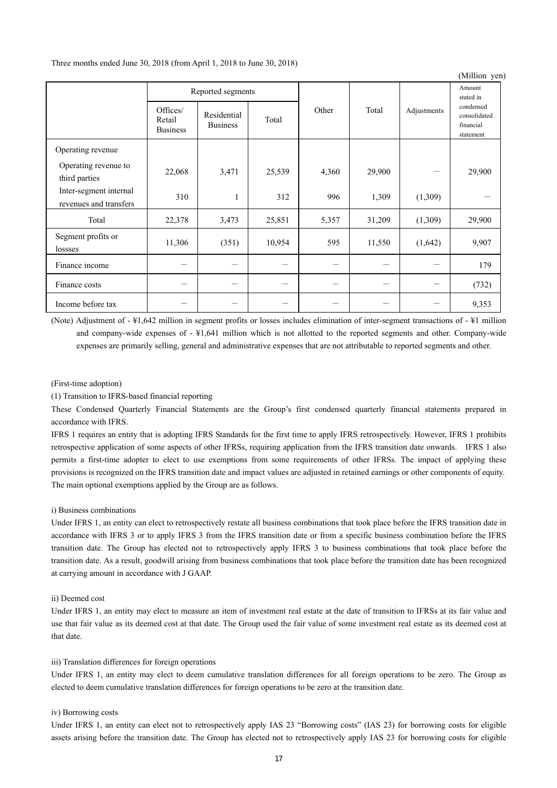Three months ended June 30, 2018 (from April 1, 2018 to June 30, 2018)

|                                                  |                                       |                                |        |       |        |             | (Million yen)                                       |
|--------------------------------------------------|---------------------------------------|--------------------------------|--------|-------|--------|-------------|-----------------------------------------------------|
|                                                  |                                       | Reported segments              |        |       |        |             | Amount<br>stated in                                 |
|                                                  | Offices/<br>Retail<br><b>Business</b> | Residential<br><b>Business</b> | Total  | Other | Total  | Adjustments | condensed<br>consolidated<br>financial<br>statement |
| Operating revenue                                |                                       |                                |        |       |        |             |                                                     |
| Operating revenue to<br>third parties            | 22,068                                | 3,471                          | 25,539 | 4,360 | 29,900 |             | 29,900                                              |
| Inter-segment internal<br>revenues and transfers | 310                                   | 1                              | 312    | 996   | 1,309  | (1,309)     |                                                     |
| Total                                            | 22,378                                | 3,473                          | 25,851 | 5,357 | 31,209 | (1,309)     | 29,900                                              |
| Segment profits or<br>lossses                    | 11,306                                | (351)                          | 10,954 | 595   | 11,550 | (1,642)     | 9,907                                               |
| Finance income                                   |                                       |                                |        |       |        |             | 179                                                 |
| Finance costs                                    |                                       |                                |        | —     | —      | —           | (732)                                               |
| Income before tax                                |                                       |                                |        |       |        |             | 9,353                                               |

(Note) Adjustment of - ¥1,642 million in segment profits or losses includes elimination of inter-segment transactions of - ¥1 million and company-wide expenses of - ¥1,641 million which is not allotted to the reported segments and other. Company-wide expenses are primarily selling, general and administrative expenses that are not attributable to reported segments and other.

(First-time adoption)

(1) Transition to IFRS-based financial reporting

These Condensed Quarterly Financial Statements are the Group's first condensed quarterly financial statements prepared in accordance with IFRS.

IFRS 1 requires an entity that is adopting IFRS Standards for the first time to apply IFRS retrospectively. However, IFRS 1 prohibits retrospective application of some aspects of other IFRSs, requiring application from the IFRS transition date onwards. IFRS 1 also permits a first-time adopter to elect to use exemptions from some requirements of other IFRSs. The impact of applying these provisions is recognized on the IFRS transition date and impact values are adjusted in retained earnings or other components of equity. The main optional exemptions applied by the Group are as follows.

### i) Business combinations

Under IFRS 1, an entity can elect to retrospectively restate all business combinations that took place before the IFRS transition date in accordance with IFRS 3 or to apply IFRS 3 from the IFRS transition date or from a specific business combination before the IFRS transition date. The Group has elected not to retrospectively apply IFRS 3 to business combinations that took place before the transition date. As a result, goodwill arising from business combinations that took place before the transition date has been recognized at carrying amount in accordance with J GAAP.

### ii) Deemed cost

Under IFRS 1, an entity may elect to measure an item of investment real estate at the date of transition to IFRSs at its fair value and use that fair value as its deemed cost at that date. The Group used the fair value of some investment real estate as its deemed cost at that date.

### iii) Translation differences for foreign operations

Under IFRS 1, an entity may elect to deem cumulative translation differences for all foreign operations to be zero. The Group as elected to deem cumulative translation differences for foreign operations to be zero at the transition date.

### iv) Borrowing costs

Under IFRS 1, an entity can elect not to retrospectively apply IAS 23 "Borrowing costs" (IAS 23) for borrowing costs for eligible assets arising before the transition date. The Group has elected not to retrospectively apply IAS 23 for borrowing costs for eligible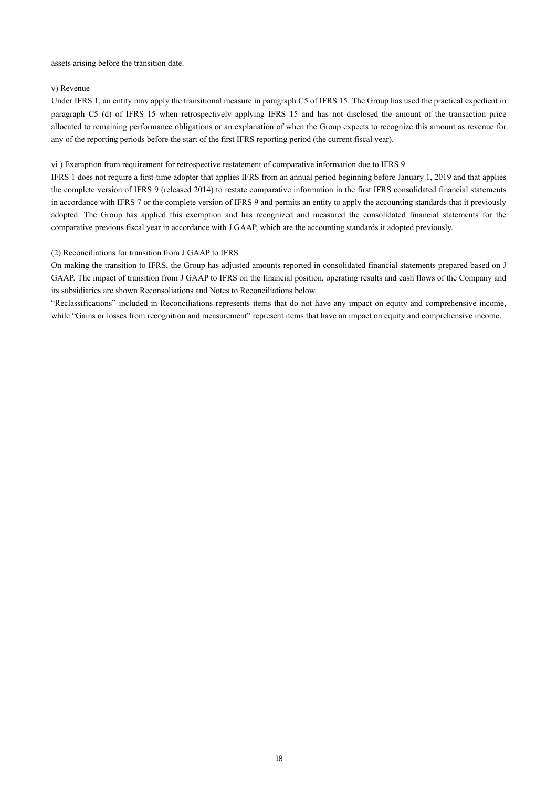assets arising before the transition date.

### v) Revenue

Under IFRS 1, an entity may apply the transitional measure in paragraph C5 of IFRS 15. The Group has used the practical expedient in paragraph C5 (d) of IFRS 15 when retrospectively applying IFRS 15 and has not disclosed the amount of the transaction price allocated to remaining performance obligations or an explanation of when the Group expects to recognize this amount as revenue for any of the reporting periods before the start of the first IFRS reporting period (the current fiscal year).

### vi ) Exemption from requirement for retrospective restatement of comparative information due to IFRS 9

IFRS 1 does not require a first-time adopter that applies IFRS from an annual period beginning before January 1, 2019 and that applies the complete version of IFRS 9 (released 2014) to restate comparative information in the first IFRS consolidated financial statements in accordance with IFRS 7 or the complete version of IFRS 9 and permits an entity to apply the accounting standards that it previously adopted. The Group has applied this exemption and has recognized and measured the consolidated financial statements for the comparative previous fiscal year in accordance with J GAAP, which are the accounting standards it adopted previously.

### (2) Reconciliations for transition from J GAAP to IFRS

On making the transition to IFRS, the Group has adjusted amounts reported in consolidated financial statements prepared based on J GAAP. The impact of transition from J GAAP to IFRS on the financial position, operating results and cash flows of the Company and its subsidiaries are shown Reconsoliations and Notes to Reconciliations below.

"Reclassifications" included in Reconciliations represents items that do not have any impact on equity and comprehensive income, while "Gains or losses from recognition and measurement" represent items that have an impact on equity and comprehensive income.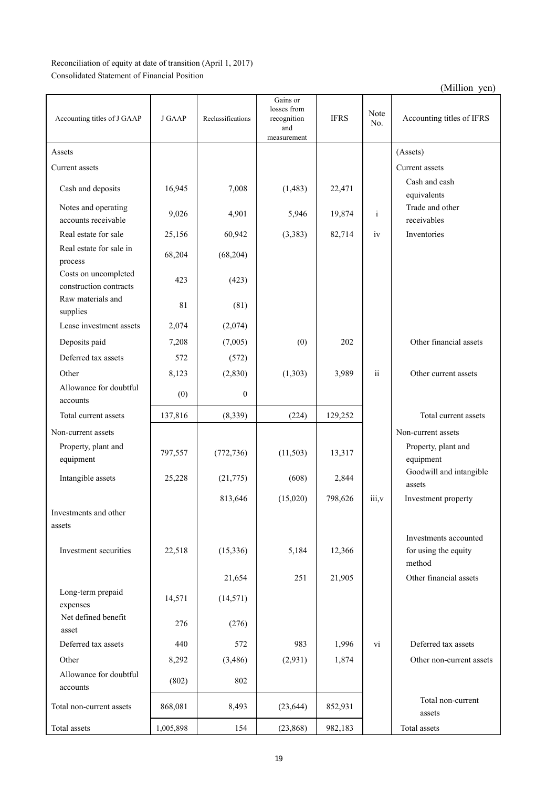Reconciliation of equity at date of transition (April 1, 2017) Consolidated Statement of Financial Position

| Accounting titles of J GAAP                    | <b>J GAAP</b> | Reclassifications | Gains or<br>losses from<br>recognition<br>and<br>measurement | <b>IFRS</b> | Note<br>No.  | Accounting titles of IFRS         |
|------------------------------------------------|---------------|-------------------|--------------------------------------------------------------|-------------|--------------|-----------------------------------|
| Assets                                         |               |                   |                                                              |             |              | (Assets)                          |
| Current assets                                 |               |                   |                                                              |             |              | Current assets                    |
| Cash and deposits                              | 16,945        | 7,008             | (1, 483)                                                     | 22,471      |              | Cash and cash<br>equivalents      |
| Notes and operating<br>accounts receivable     | 9,026         | 4,901             | 5,946                                                        | 19,874      | $\mathbf{i}$ | Trade and other<br>receivables    |
| Real estate for sale                           | 25,156        | 60,942            | (3,383)                                                      | 82,714      | iv           | Inventories                       |
| Real estate for sale in<br>process             | 68,204        | (68, 204)         |                                                              |             |              |                                   |
| Costs on uncompleted<br>construction contracts | 423           | (423)             |                                                              |             |              |                                   |
| Raw materials and<br>supplies                  | 81            | (81)              |                                                              |             |              |                                   |
| Lease investment assets                        | 2,074         | (2,074)           |                                                              |             |              |                                   |
| Deposits paid                                  | 7,208         | (7,005)           | (0)                                                          | 202         |              | Other financial assets            |
| Deferred tax assets                            | 572           | (572)             |                                                              |             |              |                                   |
| Other                                          | 8,123         | (2, 830)          | (1,303)                                                      | 3,989       | $\rm ii$     | Other current assets              |
| Allowance for doubtful<br>accounts             | (0)           | $\boldsymbol{0}$  |                                                              |             |              |                                   |
| Total current assets                           | 137,816       | (8,339)           | (224)                                                        | 129,252     |              | Total current assets              |
| Non-current assets                             |               |                   |                                                              |             |              | Non-current assets                |
| Property, plant and<br>equipment               | 797,557       | (772, 736)        | (11, 503)                                                    | 13,317      |              | Property, plant and<br>equipment  |
| Intangible assets                              | 25,228        | (21, 775)         | (608)                                                        | 2,844       |              | Goodwill and intangible<br>assets |
|                                                |               | 813,646           | (15,020)                                                     | 798,626     | iii, v       | Investment property               |
| Investments and other                          |               |                   |                                                              |             |              |                                   |
| assets                                         |               |                   |                                                              |             |              | Investments accounted             |
| Investment securities                          | 22,518        | (15, 336)         | 5,184                                                        | 12,366      |              | for using the equity<br>method    |
|                                                |               | 21,654            | 251                                                          | 21,905      |              | Other financial assets            |
| Long-term prepaid<br>expenses                  | 14,571        | (14, 571)         |                                                              |             |              |                                   |
| Net defined benefit<br>asset                   | 276           | (276)             |                                                              |             |              |                                   |
| Deferred tax assets                            | 440           | 572               | 983                                                          | 1,996       | vi           | Deferred tax assets               |
| Other                                          | 8,292         | (3,486)           | (2,931)                                                      | 1,874       |              | Other non-current assets          |
| Allowance for doubtful<br>accounts             | (802)         | 802               |                                                              |             |              |                                   |
| Total non-current assets                       | 868,081       | 8,493             | (23, 644)                                                    | 852,931     |              | Total non-current<br>assets       |
| Total assets                                   | 1,005,898     | 154               | (23, 868)                                                    | 982,183     |              | Total assets                      |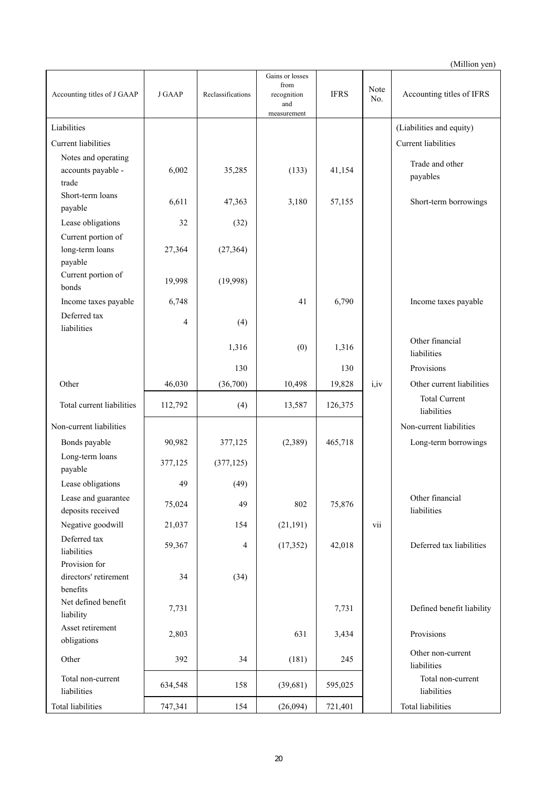|                                 |               |                   | Gains or losses     |             |             |                                     |
|---------------------------------|---------------|-------------------|---------------------|-------------|-------------|-------------------------------------|
| Accounting titles of J GAAP     | <b>J GAAP</b> | Reclassifications | from<br>recognition | <b>IFRS</b> | Note<br>No. | Accounting titles of IFRS           |
|                                 |               |                   | and                 |             |             |                                     |
| Liabilities                     |               |                   | measurement         |             |             |                                     |
|                                 |               |                   |                     |             |             | (Liabilities and equity)            |
| <b>Current liabilities</b>      |               |                   |                     |             |             | Current liabilities                 |
| Notes and operating             |               |                   |                     |             |             | Trade and other                     |
| accounts payable -<br>trade     | 6,002         | 35,285            | (133)               | 41,154      |             | payables                            |
| Short-term loans                |               |                   |                     |             |             |                                     |
| payable                         | 6,611         | 47,363            | 3,180               | 57,155      |             | Short-term borrowings               |
| Lease obligations               | 32            | (32)              |                     |             |             |                                     |
| Current portion of              |               |                   |                     |             |             |                                     |
| long-term loans                 | 27,364        | (27, 364)         |                     |             |             |                                     |
| payable                         |               |                   |                     |             |             |                                     |
| Current portion of              | 19,998        | (19,998)          |                     |             |             |                                     |
| bonds                           |               |                   |                     |             |             |                                     |
| Income taxes payable            | 6,748         |                   | 41                  | 6,790       |             | Income taxes payable                |
| Deferred tax                    | 4             | (4)               |                     |             |             |                                     |
| liabilities                     |               |                   |                     |             |             |                                     |
|                                 |               | 1,316             | (0)                 | 1,316       |             | Other financial<br>liabilities      |
|                                 |               | 130               |                     | 130         |             | Provisions                          |
|                                 |               |                   |                     |             |             |                                     |
| Other                           | 46,030        | (36,700)          | 10,498              | 19,828      | i,iv        | Other current liabilities           |
| Total current liabilities       | 112,792       | (4)               | 13,587              | 126,375     |             | <b>Total Current</b><br>liabilities |
| Non-current liabilities         |               |                   |                     |             |             | Non-current liabilities             |
|                                 |               |                   |                     |             |             |                                     |
| Bonds payable                   | 90,982        | 377,125           | (2,389)             | 465,718     |             | Long-term borrowings                |
| Long-term loans<br>payable      | 377,125       | (377, 125)        |                     |             |             |                                     |
| Lease obligations               | 49            | (49)              |                     |             |             |                                     |
| Lease and guarantee             |               |                   |                     |             |             | Other financial                     |
| deposits received               | 75,024        | 49                | 802                 | 75,876      |             | liabilities                         |
| Negative goodwill               | 21,037        | 154               | (21, 191)           |             | vii         |                                     |
| Deferred tax                    |               |                   |                     |             |             |                                     |
| liabilities                     | 59,367        | 4                 | (17, 352)           | 42,018      |             | Deferred tax liabilities            |
| Provision for                   |               |                   |                     |             |             |                                     |
| directors' retirement           | 34            | (34)              |                     |             |             |                                     |
| benefits                        |               |                   |                     |             |             |                                     |
| Net defined benefit             | 7,731         |                   |                     | 7,731       |             | Defined benefit liability           |
| liability                       |               |                   |                     |             |             |                                     |
| Asset retirement<br>obligations | 2,803         |                   | 631                 | 3,434       |             | Provisions                          |
|                                 |               |                   |                     |             |             | Other non-current                   |
| Other                           | 392           | 34                | (181)               | 245         |             | liabilities                         |
| Total non-current               |               |                   |                     |             |             | Total non-current                   |
| liabilities                     | 634,548       | 158               | (39,681)            | 595,025     |             | liabilities                         |
| Total liabilities               | 747,341       | 154               | (26,094)            | 721,401     |             | Total liabilities                   |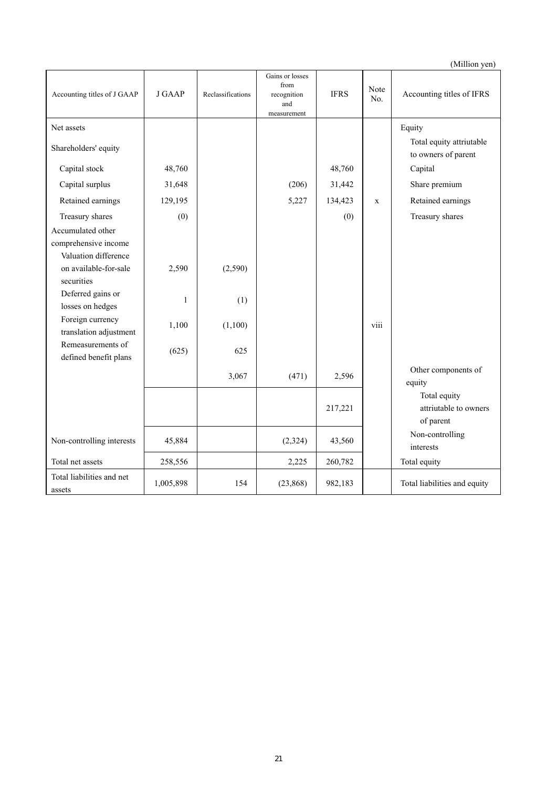| Accounting titles of J GAAP                                       | <b>J GAAP</b> | Reclassifications | Gains or losses<br>from<br>recognition<br>and<br>measurement | <b>IFRS</b> | Note<br>No. | Accounting titles of IFRS                          |
|-------------------------------------------------------------------|---------------|-------------------|--------------------------------------------------------------|-------------|-------------|----------------------------------------------------|
| Net assets                                                        |               |                   |                                                              |             |             | Equity                                             |
| Shareholders' equity                                              |               |                   |                                                              |             |             | Total equity attriutable<br>to owners of parent    |
| Capital stock                                                     | 48,760        |                   |                                                              | 48,760      |             | Capital                                            |
| Capital surplus                                                   | 31,648        |                   | (206)                                                        | 31,442      |             | Share premium                                      |
| Retained earnings                                                 | 129,195       |                   | 5,227                                                        | 134,423     | $\mathbf x$ | Retained earnings                                  |
| Treasury shares                                                   | (0)           |                   |                                                              | (0)         |             | Treasury shares                                    |
| Accumulated other<br>comprehensive income<br>Valuation difference |               |                   |                                                              |             |             |                                                    |
| on available-for-sale<br>securities                               | 2,590         | (2,590)           |                                                              |             |             |                                                    |
| Deferred gains or<br>losses on hedges                             | 1             | (1)               |                                                              |             |             |                                                    |
| Foreign currency<br>translation adjustment                        | 1,100         | (1,100)           |                                                              |             | viii        |                                                    |
| Remeasurements of<br>defined benefit plans                        | (625)         | 625               |                                                              |             |             |                                                    |
|                                                                   |               | 3,067             | (471)                                                        | 2,596       |             | Other components of<br>equity                      |
|                                                                   |               |                   |                                                              | 217,221     |             | Total equity<br>attriutable to owners<br>of parent |
| Non-controlling interests                                         | 45,884        |                   | (2, 324)                                                     | 43,560      |             | Non-controlling<br>interests                       |
| Total net assets                                                  | 258,556       |                   | 2,225                                                        | 260,782     |             | Total equity                                       |
| Total liabilities and net<br>assets                               | 1,005,898     | 154               | (23,868)                                                     | 982,183     |             | Total liabilities and equity                       |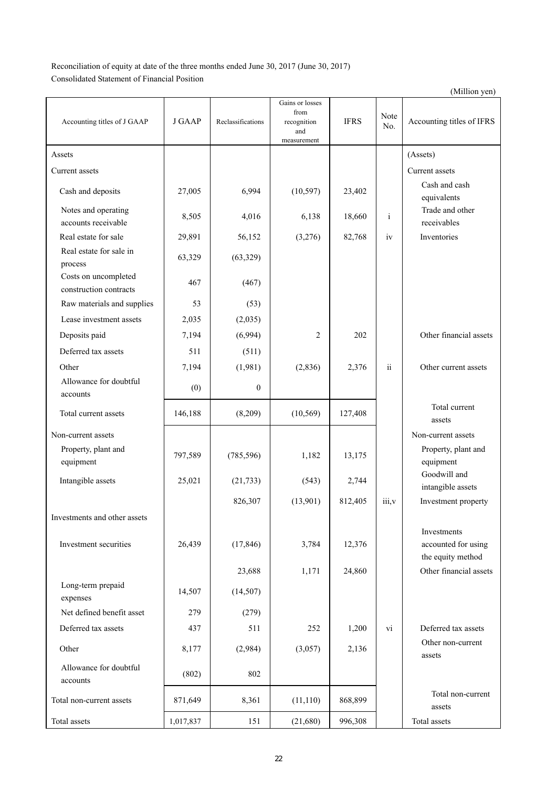Reconciliation of equity at date of the three months ended June 30, 2017 (June 30, 2017) Consolidated Statement of Financial Position

Accounting titles of J GAAP J GAAP Reclassifications Gains or losses from recognition and measurement  $IFRS$  Note Accounting titles of IFRS Assets and Assets and Assets and Assets and Assets and Assets and Assets and Assets and Assets and Assets and Assets and Assets and Assets and Assets and Assets and Assets and Assets and Assets and Assets and Assets and As Current assets **Current assets** and the current assets and the current assets and the current assets Cash and deposits  $27,005$  6,994 (10,597) 23,402 Cash and cash equivalents Notes and operating accounts receivable 18,505 4,016 6,138 18,660 i Trade and other receivables Real estate for sale 29,891 56,152 (3,276) 82,768 iv Inventories Real estate for sale in process 63,329 (63,329) Costs on uncompleted costs on uncompleted<br>
construction contracts
(467) Raw materials and supplies  $\begin{bmatrix} 53 \end{bmatrix}$  (53) Lease investment assets  $2,035$  (2,035) Deposits paid 7,194 (6,994) 2 202 Other financial assets Deferred tax assets 511 (511) Other 7,194 (1,981) (2,836) 2,376 ii Other current assets Allowance for doubtful  $\alpha$  accounts  $(0)$  0 Total current assets 146,188 (8,209) (10,569) 127,408 Total current assets Non-current assets and the set of the non-current assets Non-current assets Property, plant and equipment 797,589 (785,596) 1,182 13,175 Property, plant and equipment Intangible assets 25,021 (21,733) (543) 2,744 Goodwill and intangible assets 826,307 (13,901) 812,405 iii,v Investment property Investments and other assets Investment securities 26,439 (17,846) 3,784 12,376 Investments accounted for using the equity method 23,688 1,171 24,860 0ther financial assets Long-term prepaid expenses 14,507 (14.507) Net defined benefit asset  $279$  (279) Deferred tax assets  $437 \mid 511 \mid 252 \mid 1,200 \mid vi \mid$  Deferred tax assets Other 18,177 (2,984) (3,057) 2,136 Other non-current assets Allowance for doubtful  $\frac{1}{\arccos}$  accounts (802) 802 Total non-current assets 871,649 8,361 (11,110) 868,899 Total non-current assets Total assets 1,017,837 | 151 (21,680) 996,308 Total assets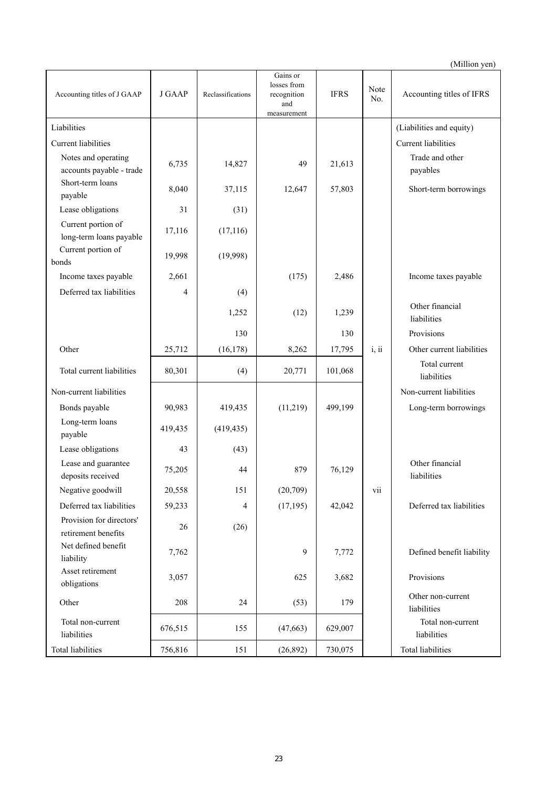| Accounting titles of J GAAP                     | <b>J GAAP</b> | Reclassifications | Gains or<br>losses from<br>recognition<br>and<br>measurement | <b>IFRS</b> | Note<br>No. | Accounting titles of IFRS        |
|-------------------------------------------------|---------------|-------------------|--------------------------------------------------------------|-------------|-------------|----------------------------------|
| Liabilities                                     |               |                   |                                                              |             |             | (Liabilities and equity)         |
| Current liabilities                             |               |                   |                                                              |             |             | Current liabilities              |
| Notes and operating<br>accounts payable - trade | 6,735         | 14,827            | 49                                                           | 21,613      |             | Trade and other<br>payables      |
| Short-term loans<br>payable                     | 8,040         | 37,115            | 12,647                                                       | 57,803      |             | Short-term borrowings            |
| Lease obligations                               | 31            | (31)              |                                                              |             |             |                                  |
| Current portion of<br>long-term loans payable   | 17,116        | (17, 116)         |                                                              |             |             |                                  |
| Current portion of<br>bonds                     | 19,998        | (19,998)          |                                                              |             |             |                                  |
| Income taxes payable                            | 2,661         |                   | (175)                                                        | 2,486       |             | Income taxes payable             |
| Deferred tax liabilities                        | 4             | (4)               |                                                              |             |             |                                  |
|                                                 |               | 1,252             | (12)                                                         | 1,239       |             | Other financial<br>liabilities   |
|                                                 |               | 130               |                                                              | 130         |             | Provisions                       |
| Other                                           | 25,712        | (16, 178)         | 8,262                                                        | 17,795      | i, ii       | Other current liabilities        |
| Total current liabilities                       | 80,301        | (4)               | 20,771                                                       | 101,068     |             | Total current<br>liabilities     |
| Non-current liabilities                         |               |                   |                                                              |             |             | Non-current liabilities          |
| Bonds payable                                   | 90,983        | 419,435           | (11,219)                                                     | 499,199     |             | Long-term borrowings             |
| Long-term loans<br>payable                      | 419,435       | (419, 435)        |                                                              |             |             |                                  |
| Lease obligations                               | 43            | (43)              |                                                              |             |             |                                  |
| Lease and guarantee<br>deposits received        | 75,205        | 44                | 879                                                          | 76,129      |             | Other financial<br>liabilities   |
| Negative goodwill                               | 20,558        | 151               | (20, 709)                                                    |             | vii         |                                  |
| Deferred tax liabilities                        | 59,233        | 4                 | (17, 195)                                                    | 42,042      |             | Deferred tax liabilities         |
| Provision for directors'<br>retirement benefits | $26\,$        | (26)              |                                                              |             |             |                                  |
| Net defined benefit<br>liability                | 7,762         |                   | 9                                                            | 7,772       |             | Defined benefit liability        |
| Asset retirement<br>obligations                 | 3,057         |                   | 625                                                          | 3,682       |             | Provisions                       |
| Other                                           | 208           | 24                | (53)                                                         | 179         |             | Other non-current<br>liabilities |
| Total non-current<br>liabilities                | 676,515       | 155               | (47, 663)                                                    | 629,007     |             | Total non-current<br>liabilities |
| Total liabilities                               | 756,816       | 151               | (26,892)                                                     | 730,075     |             | <b>Total liabilities</b>         |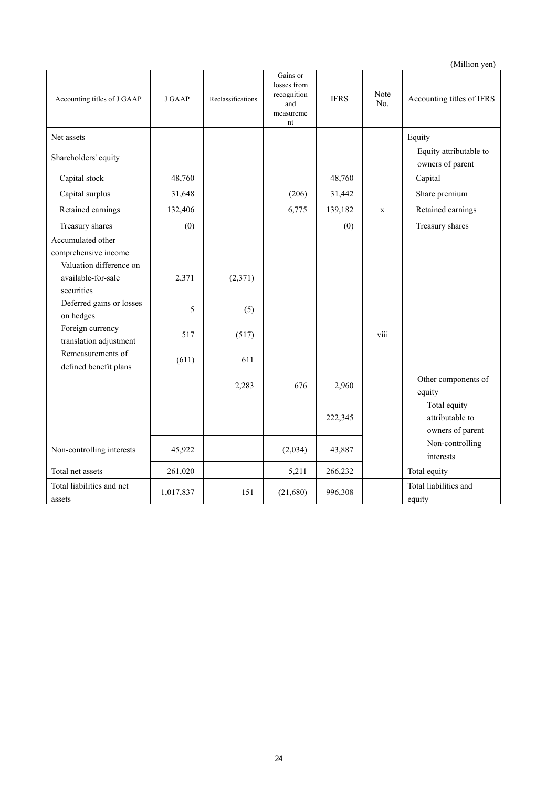|                                                                      |               |                   |                                                                  |             |              | $($ willion yen $)$                                 |
|----------------------------------------------------------------------|---------------|-------------------|------------------------------------------------------------------|-------------|--------------|-----------------------------------------------------|
| Accounting titles of J GAAP                                          | <b>J GAAP</b> | Reclassifications | Gains or<br>losses from<br>recognition<br>and<br>measureme<br>nt | <b>IFRS</b> | Note<br>No.  | Accounting titles of IFRS                           |
| Net assets                                                           |               |                   |                                                                  |             |              | Equity                                              |
| Shareholders' equity                                                 |               |                   |                                                                  |             |              | Equity attributable to<br>owners of parent          |
| Capital stock                                                        | 48,760        |                   |                                                                  | 48,760      |              | Capital                                             |
| Capital surplus                                                      | 31,648        |                   | (206)                                                            | 31,442      |              | Share premium                                       |
| Retained earnings                                                    | 132,406       |                   | 6,775                                                            | 139,182     | $\mathbf{x}$ | Retained earnings                                   |
| Treasury shares                                                      | (0)           |                   |                                                                  | (0)         |              | Treasury shares                                     |
| Accumulated other<br>comprehensive income<br>Valuation difference on |               |                   |                                                                  |             |              |                                                     |
| available-for-sale<br>securities                                     | 2,371         | (2,371)           |                                                                  |             |              |                                                     |
| Deferred gains or losses<br>on hedges                                | 5             | (5)               |                                                                  |             |              |                                                     |
| Foreign currency<br>translation adjustment                           | 517           | (517)             |                                                                  |             | viii         |                                                     |
| Remeasurements of<br>defined benefit plans                           | (611)         | 611               |                                                                  |             |              |                                                     |
|                                                                      |               | 2,283             | 676                                                              | 2,960       |              | Other components of<br>equity                       |
|                                                                      |               |                   |                                                                  | 222,345     |              | Total equity<br>attributable to<br>owners of parent |
| Non-controlling interests                                            | 45,922        |                   | (2,034)                                                          | 43,887      |              | Non-controlling<br>interests                        |
| Total net assets                                                     | 261,020       |                   | 5,211                                                            | 266,232     |              | Total equity                                        |
| Total liabilities and net<br>assets                                  | 1,017,837     | 151               | (21,680)                                                         | 996,308     |              | Total liabilities and<br>equity                     |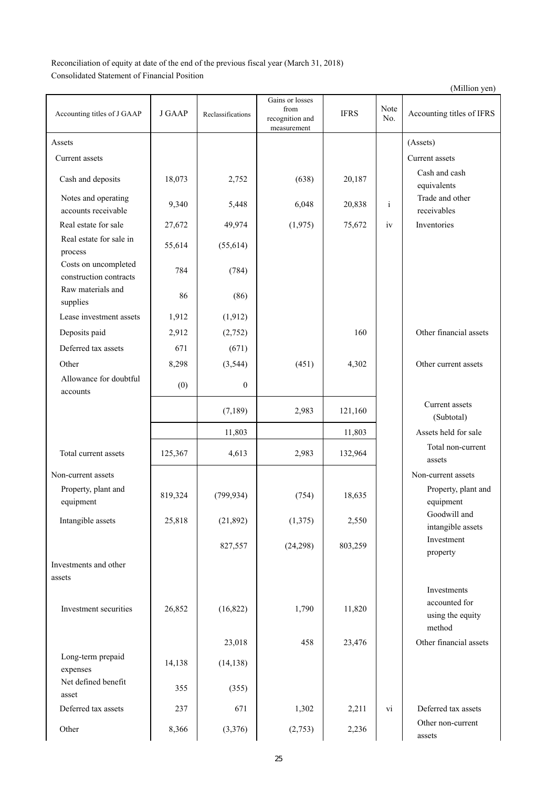Reconciliation of equity at date of the end of the previous fiscal year (March 31, 2018) Consolidated Statement of Financial Position

(Million yen) Accounting titles of J GAAP J GAAP Reclassifications Gains or losses from recognition and measurement IFRS Note Accounting titles of IFRS Assets (Assets) and the contract of the contract of the contract of the contract of the contract of the contract of the contract of the contract of the contract of the contract of the contract of the contract of the contra Current assets Current assets Cash and deposits 18,073 2,752 (638) 20,187 Cash and cash equivalents Notes and operating accounts receivable 9,340 5,448 6,048 20,838 i Trade and other receivables Real estate for sale 27,672 49,974 (1,975) 75,672 iv Inventories Real estate for sale in process 55,614 (55,614) Costs on uncompleted construction contracts 784 (784) Raw materials and supplies 86 (86) Lease investment assets  $1,912$  (1,912) Deposits paid 2,912  $(2,752)$  160 Other financial assets Deferred tax assets  $\begin{array}{|c|c|c|c|c|} \hline 671 & & (671) \end{array}$ Other 8,298 (3,544) (451) 4,302 Other current assets Allowance for doubtful  $\alpha$  accounts  $(0)$  0  $(7,189)$  2,983 121,160 Current assets (Subtotal) 11,803 11,803 11,803 Assets held for sale Total current assets 125,367 4,613 2,983 132,964 Total non-current assets Non-current assets Non-current assets Non-current assets Property, plant and Property, plant and 819,324 (799,934) (754) 18,635 Property, plant and equipment equipment Intangible assets 1 25,818 (21,892) (1,375) 2,550 Goodwill and intangible assets 827,557 (24,298) 803,259 Investment property Investments and other assets Investment securities 26,852 (16,822) 1,790 11,820 Investments accounted for using the equity method 23,018 458 23,476 Other financial assets Long-term prepaid expenses 14,138 (14,138) Net defined benefit  $\frac{355}{355}$  (355) Deferred tax assets 237 671 1,302 2,211 vi Deferred tax assets Other 8,366 (3,376) (2,753) 2,236 Other non-current assets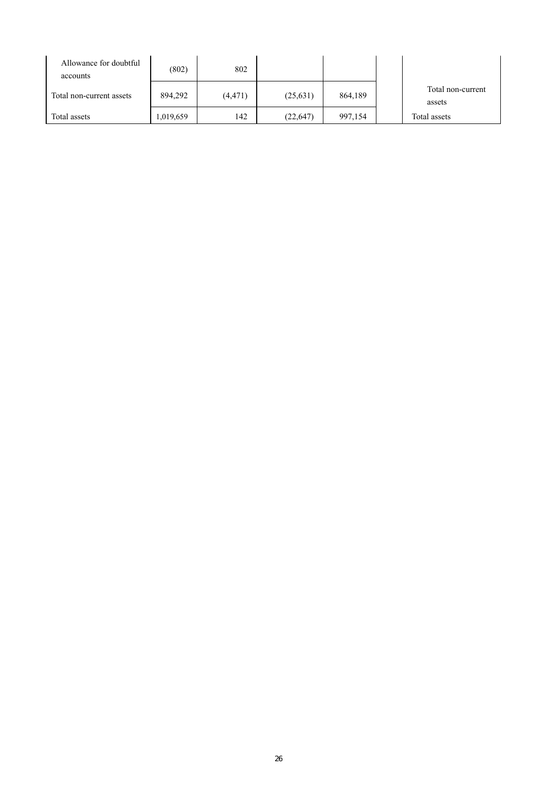| Allowance for doubtful<br>accounts | (802)     | 802      |           |         |                             |
|------------------------------------|-----------|----------|-----------|---------|-----------------------------|
| Total non-current assets           | 894.292   | (4, 471) | (25, 631) | 864,189 | Total non-current<br>assets |
| Total assets                       | 1,019,659 | 142      | (22, 647) | 997,154 | Total assets                |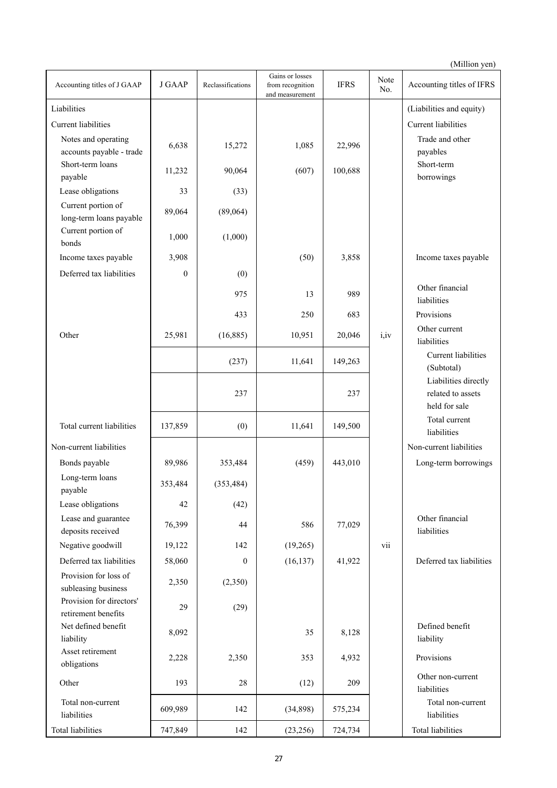| Accounting titles of J GAAP                     | <b>J GAAP</b> | Reclassifications | Gains or losses<br>from recognition | <b>IFRS</b> | Note<br>No. | Accounting titles of IFRS                       |
|-------------------------------------------------|---------------|-------------------|-------------------------------------|-------------|-------------|-------------------------------------------------|
| Liabilities                                     |               |                   | and measurement                     |             |             |                                                 |
|                                                 |               |                   |                                     |             |             | (Liabilities and equity)<br>Current liabilities |
| Current liabilities<br>Notes and operating      |               |                   |                                     |             |             | Trade and other                                 |
| accounts payable - trade                        | 6,638         | 15,272            | 1,085                               | 22,996      |             | payables                                        |
| Short-term loans                                |               |                   |                                     |             |             | Short-term                                      |
| payable                                         | 11,232        | 90,064            | (607)                               | 100,688     |             | borrowings                                      |
| Lease obligations                               | 33            | (33)              |                                     |             |             |                                                 |
| Current portion of                              | 89,064        | (89,064)          |                                     |             |             |                                                 |
| long-term loans payable                         |               |                   |                                     |             |             |                                                 |
| Current portion of<br>bonds                     | 1,000         | (1,000)           |                                     |             |             |                                                 |
| Income taxes payable                            | 3,908         |                   | (50)                                | 3,858       |             | Income taxes payable                            |
| Deferred tax liabilities                        | $\theta$      | (0)               |                                     |             |             |                                                 |
|                                                 |               |                   |                                     |             |             | Other financial                                 |
|                                                 |               | 975               | 13                                  | 989         |             | liabilities                                     |
|                                                 |               | 433               | 250                                 | 683         |             | Provisions                                      |
| Other                                           | 25,981        | (16, 885)         | 10,951                              | 20,046      | i,iv        | Other current                                   |
|                                                 |               |                   |                                     |             |             | liabilities                                     |
|                                                 |               | (237)             | 11,641                              | 149,263     |             | Current liabilities<br>(Subtotal)               |
|                                                 |               |                   |                                     |             |             | Liabilities directly                            |
|                                                 |               | 237               |                                     | 237         |             | related to assets                               |
|                                                 |               |                   |                                     |             |             | held for sale                                   |
| Total current liabilities                       | 137,859       | (0)               | 11,641                              | 149,500     |             | Total current                                   |
| Non-current liabilities                         |               |                   |                                     |             |             | liabilities<br>Non-current liabilities          |
|                                                 |               |                   |                                     |             |             |                                                 |
| Bonds payable<br>Long-term loans                | 89,986        | 353,484           | (459)                               | 443,010     |             | Long-term borrowings                            |
| payable                                         | 353,484       | (353, 484)        |                                     |             |             |                                                 |
| Lease obligations                               | 42            | (42)              |                                     |             |             |                                                 |
| Lease and guarantee                             |               |                   |                                     |             |             | Other financial                                 |
| deposits received                               | 76,399        | 44                | 586                                 | 77,029      |             | liabilities                                     |
| Negative goodwill                               | 19,122        | 142               | (19,265)                            |             | vii         |                                                 |
| Deferred tax liabilities                        | 58,060        | $\boldsymbol{0}$  | (16, 137)                           | 41,922      |             | Deferred tax liabilities                        |
| Provision for loss of                           | 2,350         | (2,350)           |                                     |             |             |                                                 |
| subleasing business<br>Provision for directors' |               |                   |                                     |             |             |                                                 |
| retirement benefits                             | 29            | (29)              |                                     |             |             |                                                 |
| Net defined benefit                             |               |                   |                                     |             |             | Defined benefit                                 |
| liability                                       | 8,092         |                   | 35                                  | 8,128       |             | liability                                       |
| Asset retirement                                | 2,228         | 2,350             | 353                                 | 4,932       |             | Provisions                                      |
| obligations                                     |               |                   |                                     |             |             | Other non-current                               |
| Other                                           | 193           | $28\,$            | (12)                                | 209         |             | liabilities                                     |
| Total non-current                               |               |                   |                                     |             |             | Total non-current                               |
| liabilities                                     | 609,989       | 142               | (34,898)                            | 575,234     |             | liabilities                                     |
| Total liabilities                               | 747,849       | 142               | (23, 256)                           | 724,734     |             | <b>Total liabilities</b>                        |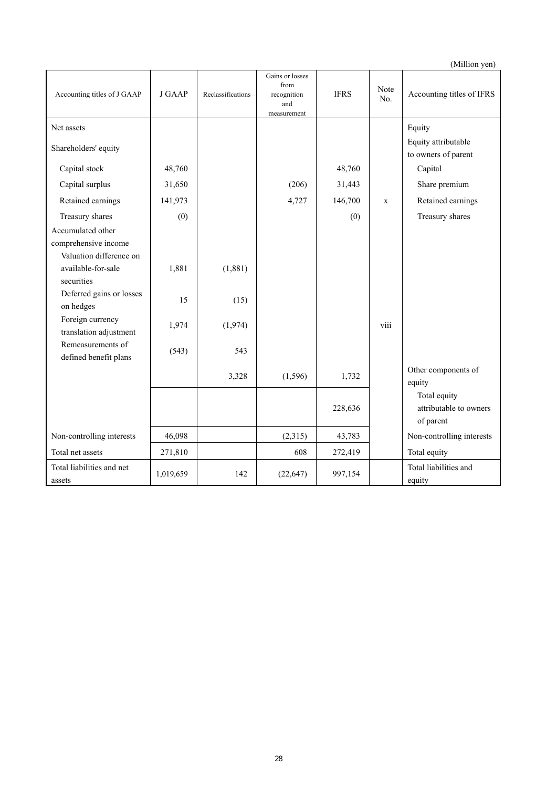| Accounting titles of J GAAP                                          | <b>J GAAP</b> | Reclassifications | Gains or losses<br>from<br>recognition<br>and<br>measurement | <b>IFRS</b> | Note<br>No. | Accounting titles of IFRS                           |
|----------------------------------------------------------------------|---------------|-------------------|--------------------------------------------------------------|-------------|-------------|-----------------------------------------------------|
| Net assets                                                           |               |                   |                                                              |             |             | Equity                                              |
| Shareholders' equity                                                 |               |                   |                                                              |             |             | Equity attributable<br>to owners of parent          |
| Capital stock                                                        | 48,760        |                   |                                                              | 48,760      |             | Capital                                             |
| Capital surplus                                                      | 31,650        |                   | (206)                                                        | 31,443      |             | Share premium                                       |
| Retained earnings                                                    | 141,973       |                   | 4,727                                                        | 146,700     | $\mathbf X$ | Retained earnings                                   |
| Treasury shares                                                      | (0)           |                   |                                                              | (0)         |             | Treasury shares                                     |
| Accumulated other<br>comprehensive income<br>Valuation difference on |               |                   |                                                              |             |             |                                                     |
| available-for-sale<br>securities                                     | 1,881         | (1,881)           |                                                              |             |             |                                                     |
| Deferred gains or losses<br>on hedges                                | 15            | (15)              |                                                              |             |             |                                                     |
| Foreign currency<br>translation adjustment                           | 1,974         | (1,974)           |                                                              |             | viii        |                                                     |
| Remeasurements of<br>defined benefit plans                           | (543)         | 543               |                                                              |             |             |                                                     |
|                                                                      |               | 3,328             | (1, 596)                                                     | 1,732       |             | Other components of<br>equity                       |
|                                                                      |               |                   |                                                              | 228,636     |             | Total equity<br>attributable to owners<br>of parent |
| Non-controlling interests                                            | 46,098        |                   | (2,315)                                                      | 43,783      |             | Non-controlling interests                           |
| Total net assets                                                     | 271,810       |                   | 608                                                          | 272,419     |             | Total equity                                        |
| Total liabilities and net<br>assets                                  | 1,019,659     | 142               | (22, 647)                                                    | 997,154     |             | Total liabilities and<br>equity                     |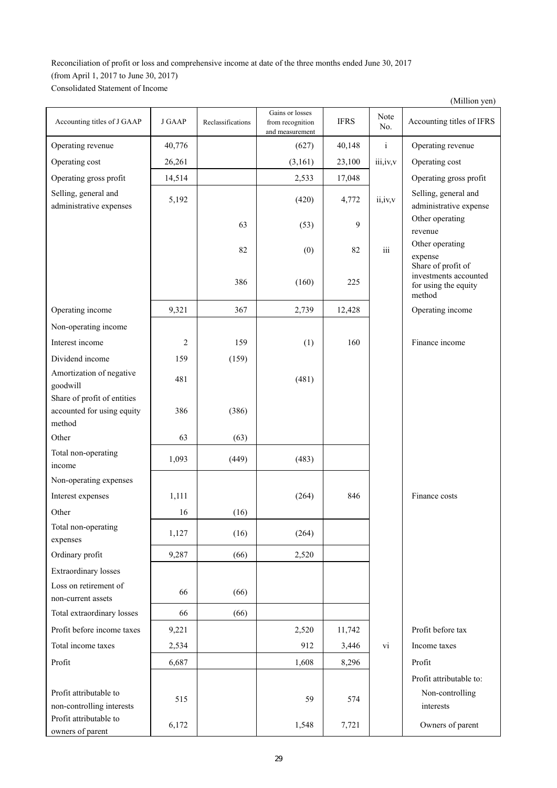Reconciliation of profit or loss and comprehensive income at date of the three months ended June 30, 2017 (from April 1, 2017 to June 30, 2017) Consolidated Statement of Income

|                                                                     |               |                   |                                                        |             |               | (Million yen)                                                                 |
|---------------------------------------------------------------------|---------------|-------------------|--------------------------------------------------------|-------------|---------------|-------------------------------------------------------------------------------|
| Accounting titles of J GAAP                                         | <b>J GAAP</b> | Reclassifications | Gains or losses<br>from recognition<br>and measurement | <b>IFRS</b> | Note<br>No.   | Accounting titles of IFRS                                                     |
| Operating revenue                                                   | 40,776        |                   | (627)                                                  | 40,148      | $\mathbf{i}$  | Operating revenue                                                             |
| Operating cost                                                      | 26,261        |                   | (3,161)                                                | 23,100      | iii, iv, v    | Operating cost                                                                |
| Operating gross profit                                              | 14,514        |                   | 2,533                                                  | 17,048      |               | Operating gross profit                                                        |
| Selling, general and<br>administrative expenses                     | 5,192         |                   | (420)                                                  | 4,772       | ii, iv, v     | Selling, general and<br>administrative expense                                |
|                                                                     |               | 63                | (53)                                                   | 9           |               | Other operating<br>revenue                                                    |
|                                                                     |               | 82                | (0)                                                    | 82          | iii           | Other operating<br>expense                                                    |
|                                                                     |               | 386               | (160)                                                  | 225         |               | Share of profit of<br>investments accounted<br>for using the equity<br>method |
| Operating income                                                    | 9,321         | 367               | 2,739                                                  | 12,428      |               | Operating income                                                              |
| Non-operating income                                                |               |                   |                                                        |             |               |                                                                               |
| Interest income                                                     | 2             | 159               | (1)                                                    | 160         |               | Finance income                                                                |
| Dividend income                                                     | 159           | (159)             |                                                        |             |               |                                                                               |
| Amortization of negative<br>goodwill                                | 481           |                   | (481)                                                  |             |               |                                                                               |
| Share of profit of entities<br>accounted for using equity<br>method | 386           | (386)             |                                                        |             |               |                                                                               |
| Other                                                               | 63            | (63)              |                                                        |             |               |                                                                               |
| Total non-operating<br>income                                       | 1,093         | (449)             | (483)                                                  |             |               |                                                                               |
| Non-operating expenses                                              |               |                   |                                                        |             |               |                                                                               |
| Interest expenses                                                   | 1,111         |                   | (264)                                                  | 846         |               | Finance costs                                                                 |
| Other                                                               | 16            | (16)              |                                                        |             |               |                                                                               |
| Total non-operating<br>expenses                                     | 1,127         | (16)              | (264)                                                  |             |               |                                                                               |
| Ordinary profit                                                     | 9,287         | (66)              | 2,520                                                  |             |               |                                                                               |
| <b>Extraordinary losses</b>                                         |               |                   |                                                        |             |               |                                                                               |
| Loss on retirement of<br>non-current assets                         | 66            | (66)              |                                                        |             |               |                                                                               |
| Total extraordinary losses                                          | 66            | (66)              |                                                        |             |               |                                                                               |
| Profit before income taxes                                          | 9,221         |                   | 2,520                                                  | 11,742      |               | Profit before tax                                                             |
| Total income taxes                                                  | 2,534         |                   | 912                                                    | 3,446       | $\mathbf{vi}$ | Income taxes                                                                  |
| Profit                                                              | 6,687         |                   | 1,608                                                  | 8,296       |               | Profit                                                                        |
|                                                                     |               |                   |                                                        |             |               | Profit attributable to:                                                       |
| Profit attributable to<br>non-controlling interests                 | 515           |                   | 59                                                     | 574         |               | Non-controlling<br>interests                                                  |
| Profit attributable to<br>owners of parent                          | 6,172         |                   | 1,548                                                  | 7,721       |               | Owners of parent                                                              |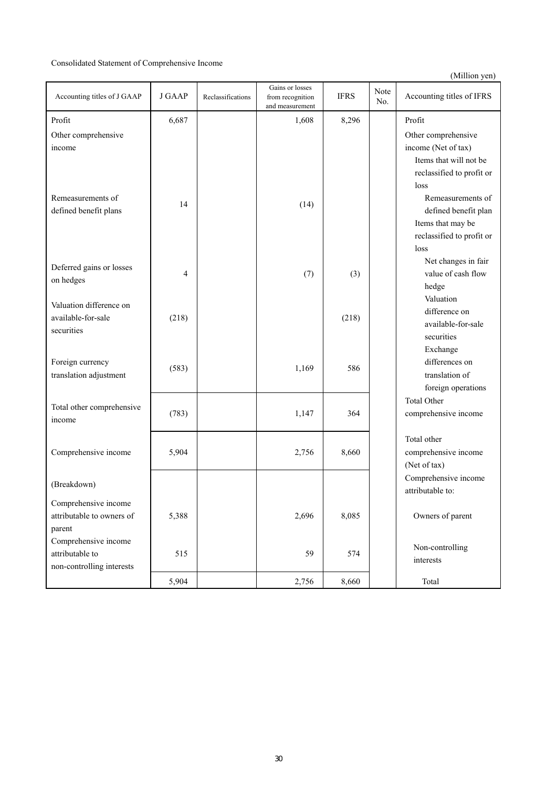### Consolidated Statement of Comprehensive Income

| Accounting titles of J GAAP | <b>J GAAP</b>  | Reclassifications | Gains or losses<br>from recognition<br>and measurement | <b>IFRS</b> | Note<br>No. | Accounting titles of IFRS |
|-----------------------------|----------------|-------------------|--------------------------------------------------------|-------------|-------------|---------------------------|
| Profit                      | 6,687          |                   | 1,608                                                  | 8,296       |             | Profit                    |
| Other comprehensive         |                |                   |                                                        |             |             | Other comprehensive       |
| income                      |                |                   |                                                        |             |             | income (Net of tax)       |
|                             |                |                   |                                                        |             |             | Items that will not be    |
|                             |                |                   |                                                        |             |             | reclassified to profit or |
|                             |                |                   |                                                        |             |             | loss                      |
| Remeasurements of           |                |                   |                                                        |             |             | Remeasurements of         |
| defined benefit plans       | 14             |                   | (14)                                                   |             |             | defined benefit plan      |
|                             |                |                   |                                                        |             |             | Items that may be         |
|                             |                |                   |                                                        |             |             | reclassified to profit or |
|                             |                |                   |                                                        |             |             | loss                      |
|                             |                |                   |                                                        |             |             | Net changes in fair       |
| Deferred gains or losses    | $\overline{4}$ |                   | (7)                                                    | (3)         |             | value of cash flow        |
| on hedges                   |                |                   |                                                        |             |             | hedge                     |
| Valuation difference on     |                |                   |                                                        |             |             | Valuation                 |
| available-for-sale          | (218)          |                   |                                                        | (218)       |             | difference on             |
| securities                  |                |                   |                                                        |             |             | available-for-sale        |
|                             |                |                   |                                                        |             |             | securities                |
|                             |                |                   |                                                        |             |             | Exchange                  |
| Foreign currency            | (583)          |                   | 1,169                                                  | 586         |             | differences on            |
| translation adjustment      |                |                   |                                                        |             |             | translation of            |
|                             |                |                   |                                                        |             |             | foreign operations        |
| Total other comprehensive   |                |                   |                                                        |             |             | <b>Total Other</b>        |
| income                      | (783)          |                   | 1,147                                                  | 364         |             | comprehensive income      |
|                             |                |                   |                                                        |             |             |                           |
|                             |                |                   |                                                        |             |             | Total other               |
| Comprehensive income        | 5,904          |                   | 2,756                                                  | 8,660       |             | comprehensive income      |
|                             |                |                   |                                                        |             |             | (Net of tax)              |
| (Breakdown)                 |                |                   |                                                        |             |             | Comprehensive income      |
|                             |                |                   |                                                        |             |             | attributable to:          |
| Comprehensive income        |                |                   |                                                        |             |             |                           |
| attributable to owners of   | 5,388          |                   | 2,696                                                  | 8,085       |             | Owners of parent          |
| parent                      |                |                   |                                                        |             |             |                           |
| Comprehensive income        |                |                   |                                                        |             |             | Non-controlling           |
| attributable to             | 515            |                   | 59                                                     | 574         |             | interests                 |
| non-controlling interests   |                |                   |                                                        |             |             |                           |
|                             | 5,904          |                   | 2,756                                                  | 8,660       |             | Total                     |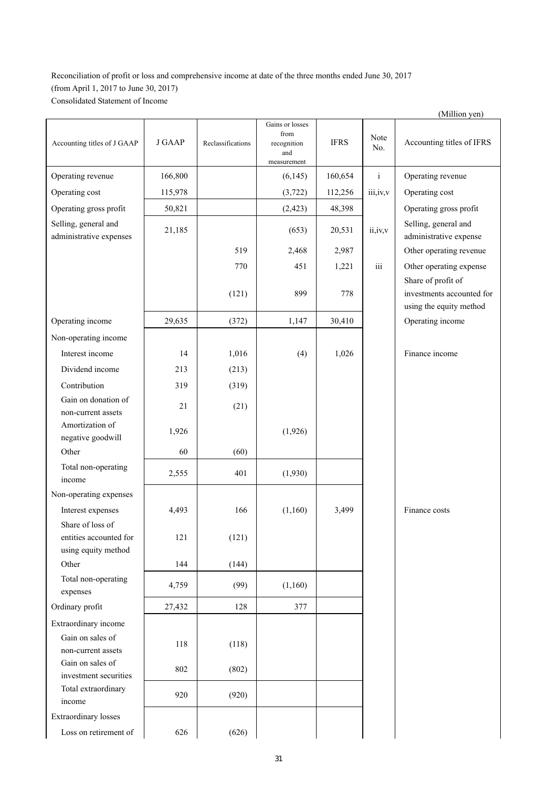## Reconciliation of profit or loss and comprehensive income at date of the three months ended June 30, 2017 (from April 1, 2017 to June 30, 2017) Consolidated Statement of Income

|                                                                   |               |                   |                                                              |             |              | (Million yen)                                                              |
|-------------------------------------------------------------------|---------------|-------------------|--------------------------------------------------------------|-------------|--------------|----------------------------------------------------------------------------|
| Accounting titles of J GAAP                                       | <b>J GAAP</b> | Reclassifications | Gains or losses<br>from<br>recognition<br>and<br>measurement | <b>IFRS</b> | Note<br>No.  | Accounting titles of IFRS                                                  |
| Operating revenue                                                 | 166,800       |                   | (6,145)                                                      | 160,654     | $\mathbf{i}$ | Operating revenue                                                          |
| Operating cost                                                    | 115,978       |                   | (3,722)                                                      | 112,256     | iii, iv, v   | Operating cost                                                             |
| Operating gross profit                                            | 50,821        |                   | (2, 423)                                                     | 48,398      |              | Operating gross profit                                                     |
| Selling, general and<br>administrative expenses                   | 21,185        |                   | (653)                                                        | 20,531      | ii,iv,v      | Selling, general and<br>administrative expense                             |
|                                                                   |               | 519               | 2,468                                                        | 2,987       |              | Other operating revenue                                                    |
|                                                                   |               | 770               | 451                                                          | 1,221       | iii          | Other operating expense                                                    |
|                                                                   |               | (121)             | 899                                                          | 778         |              | Share of profit of<br>investments accounted for<br>using the equity method |
| Operating income                                                  | 29,635        | (372)             | 1,147                                                        | 30,410      |              | Operating income                                                           |
| Non-operating income                                              |               |                   |                                                              |             |              |                                                                            |
| Interest income                                                   | 14            | 1,016             | (4)                                                          | 1,026       |              | Finance income                                                             |
| Dividend income                                                   | 213           | (213)             |                                                              |             |              |                                                                            |
| Contribution                                                      | 319           | (319)             |                                                              |             |              |                                                                            |
| Gain on donation of<br>non-current assets                         | 21            | (21)              |                                                              |             |              |                                                                            |
| Amortization of<br>negative goodwill                              | 1,926         |                   | (1,926)                                                      |             |              |                                                                            |
| Other                                                             | 60            | (60)              |                                                              |             |              |                                                                            |
| Total non-operating<br>income                                     | 2,555         | 401               | (1,930)                                                      |             |              |                                                                            |
| Non-operating expenses                                            |               |                   |                                                              |             |              |                                                                            |
| Interest expenses                                                 | 4,493         | 166               | (1,160)                                                      | 3,499       |              | Finance costs                                                              |
| Share of loss of<br>entities accounted for<br>using equity method | 121           | (121)             |                                                              |             |              |                                                                            |
| Other                                                             | 144           | (144)             |                                                              |             |              |                                                                            |
| Total non-operating<br>expenses                                   | 4,759         | (99)              | (1,160)                                                      |             |              |                                                                            |
| Ordinary profit                                                   | 27,432        | 128               | 377                                                          |             |              |                                                                            |
| Extraordinary income                                              |               |                   |                                                              |             |              |                                                                            |
| Gain on sales of<br>non-current assets                            | 118           | (118)             |                                                              |             |              |                                                                            |
| Gain on sales of<br>investment securities                         | 802           | (802)             |                                                              |             |              |                                                                            |
| Total extraordinary<br>income                                     | 920           | (920)             |                                                              |             |              |                                                                            |
| <b>Extraordinary losses</b>                                       |               |                   |                                                              |             |              |                                                                            |
| Loss on retirement of                                             | 626           | (626)             |                                                              |             |              |                                                                            |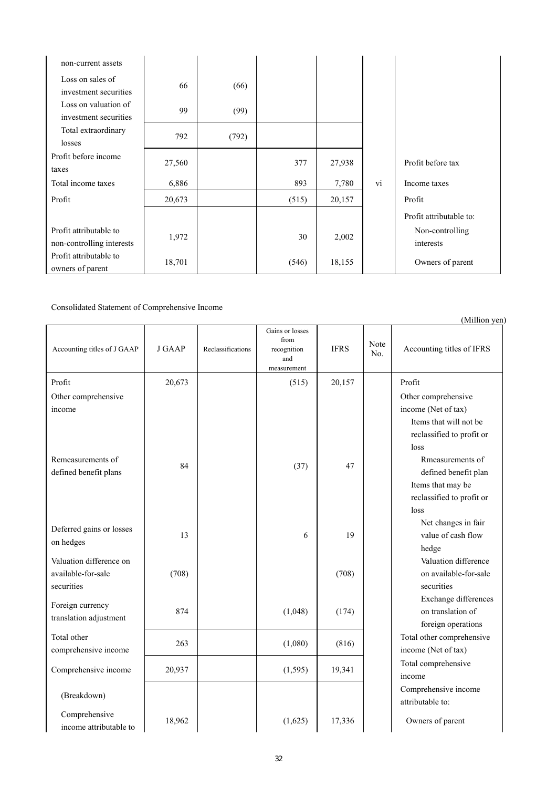| non-current assets                            |        |       |       |        |    |                         |
|-----------------------------------------------|--------|-------|-------|--------|----|-------------------------|
| Loss on sales of<br>investment securities     | 66     | (66)  |       |        |    |                         |
| Loss on valuation of<br>investment securities | 99     | (99)  |       |        |    |                         |
| Total extraordinary<br>losses                 | 792    | (792) |       |        |    |                         |
| Profit before income<br>taxes                 | 27,560 |       | 377   | 27,938 |    | Profit before tax       |
| Total income taxes                            | 6,886  |       | 893   | 7,780  | vi | Income taxes            |
| Profit                                        | 20,673 |       | (515) | 20,157 |    | Profit                  |
|                                               |        |       |       |        |    | Profit attributable to: |
| Profit attributable to                        | 1,972  |       | 30    | 2,002  |    | Non-controlling         |
| non-controlling interests                     |        |       |       |        |    | interests               |
| Profit attributable to                        | 18,701 |       | (546) | 18,155 |    | Owners of parent        |
| owners of parent                              |        |       |       |        |    |                         |

### Consolidated Statement of Comprehensive Income

|                                         |               |                   |                                                              |             |             | типпон уеп                               |
|-----------------------------------------|---------------|-------------------|--------------------------------------------------------------|-------------|-------------|------------------------------------------|
| Accounting titles of J GAAP             | <b>J GAAP</b> | Reclassifications | Gains or losses<br>from<br>recognition<br>and<br>measurement | <b>IFRS</b> | Note<br>No. | Accounting titles of IFRS                |
| Profit                                  | 20,673        |                   | (515)                                                        | 20,157      |             | Profit                                   |
| Other comprehensive                     |               |                   |                                                              |             |             | Other comprehensive                      |
| income                                  |               |                   |                                                              |             |             | income (Net of tax)                      |
|                                         |               |                   |                                                              |             |             | Items that will not be                   |
|                                         |               |                   |                                                              |             |             | reclassified to profit or                |
|                                         |               |                   |                                                              |             |             | loss                                     |
| Remeasurements of                       | 84            |                   | (37)                                                         | 47          |             | Rmeasurements of                         |
| defined benefit plans                   |               |                   |                                                              |             |             | defined benefit plan                     |
|                                         |               |                   |                                                              |             |             | Items that may be                        |
|                                         |               |                   |                                                              |             |             | reclassified to profit or                |
|                                         |               |                   |                                                              |             |             | loss                                     |
| Deferred gains or losses                |               |                   |                                                              |             |             | Net changes in fair                      |
| on hedges                               | 13            |                   | 6                                                            | 19          |             | value of cash flow                       |
|                                         |               |                   |                                                              |             |             | hedge                                    |
| Valuation difference on                 |               |                   |                                                              |             |             | Valuation difference                     |
| available-for-sale                      | (708)         |                   |                                                              | (708)       |             | on available-for-sale                    |
| securities                              |               |                   |                                                              |             |             | securities                               |
| Foreign currency                        |               |                   |                                                              |             |             | Exchange differences                     |
| translation adjustment                  | 874           |                   | (1,048)                                                      | (174)       |             | on translation of                        |
|                                         |               |                   |                                                              |             |             | foreign operations                       |
| Total other                             | 263           |                   | (1,080)                                                      | (816)       |             | Total other comprehensive                |
| comprehensive income                    |               |                   |                                                              |             |             | income (Net of tax)                      |
| Comprehensive income                    | 20,937        |                   | (1, 595)                                                     | 19,341      |             | Total comprehensive                      |
|                                         |               |                   |                                                              |             |             | income                                   |
| (Breakdown)                             |               |                   |                                                              |             |             | Comprehensive income<br>attributable to: |
| Comprehensive<br>income attributable to | 18,962        |                   | (1,625)                                                      | 17,336      |             | Owners of parent                         |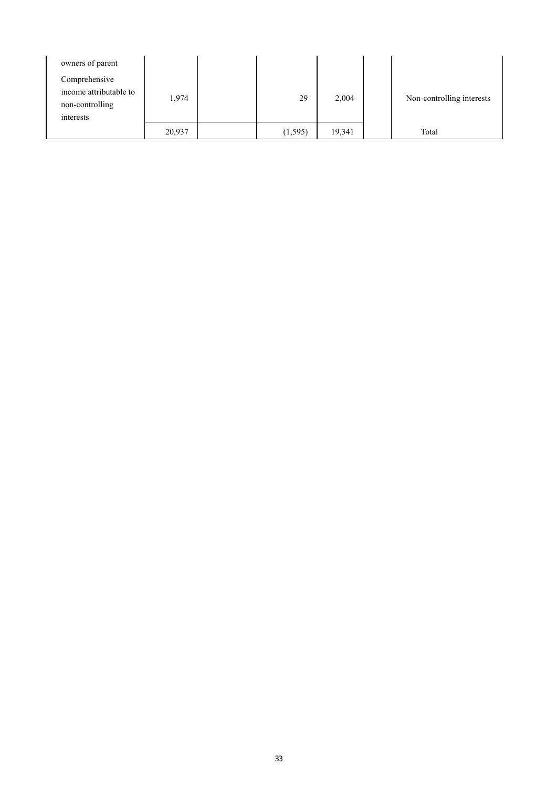| owners of parent                                                        |        |          |        |                           |
|-------------------------------------------------------------------------|--------|----------|--------|---------------------------|
| Comprehensive<br>income attributable to<br>non-controlling<br>interests | 1,974  | 29       | 2,004  | Non-controlling interests |
|                                                                         | 20,937 | (1, 595) | 19,341 | Total                     |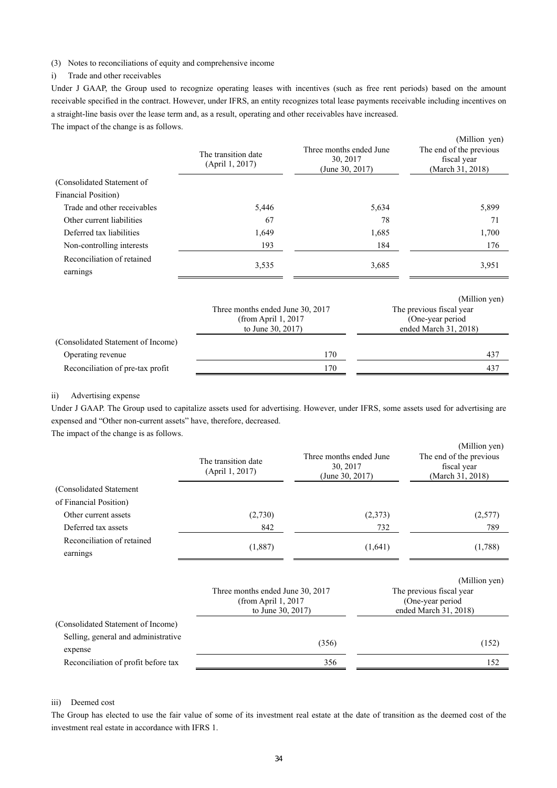(3) Notes to reconciliations of equity and comprehensive income

### i) Trade and other receivables

Under J GAAP, the Group used to recognize operating leases with incentives (such as free rent periods) based on the amount receivable specified in the contract. However, under IFRS, an entity recognizes total lease payments receivable including incentives on a straight-line basis over the lease term and, as a result, operating and other receivables have increased.

The impact of the change is as follows.

|                                        | The transition date<br>(April 1, 2017)                                         | Three months ended June<br>30, 2017<br>(June 30, 2017) |       | (Million yen)<br>The end of the previous<br>fiscal year<br>(March 31, 2018)             |
|----------------------------------------|--------------------------------------------------------------------------------|--------------------------------------------------------|-------|-----------------------------------------------------------------------------------------|
| (Consolidated Statement of             |                                                                                |                                                        |       |                                                                                         |
| <b>Financial Position</b> )            |                                                                                |                                                        |       |                                                                                         |
| Trade and other receivables            | 5,446                                                                          |                                                        | 5,634 | 5,899                                                                                   |
| Other current liabilities              | 67                                                                             |                                                        | 78    | 71                                                                                      |
| Deferred tax liabilities               | 1,649                                                                          |                                                        | 1,685 | 1,700                                                                                   |
| Non-controlling interests              | 193                                                                            |                                                        | 184   | 176                                                                                     |
| Reconciliation of retained<br>earnings | 3,535                                                                          |                                                        | 3,685 | 3,951                                                                                   |
|                                        | Three months ended June 30, 2017<br>(from April $1, 2017$<br>to June 30, 2017) |                                                        |       | (Million yen)<br>The previous fiscal year<br>(One-year period)<br>ended March 31, 2018) |
| (Consolidated Statement of Income)     |                                                                                |                                                        |       |                                                                                         |
| Operating revenue                      |                                                                                | 170                                                    |       | 437                                                                                     |
| Reconciliation of pre-tax profit       |                                                                                | 170                                                    |       | 437                                                                                     |

### ii) Advertising expense

Under J GAAP. The Group used to capitalize assets used for advertising. However, under IFRS, some assets used for advertising are expensed and "Other non-current assets" have, therefore, decreased.

The impact of the change is as follows.

|                                                | The transition date<br>(April 1, 2017)                                         | Three months ended June<br>30, 2017<br>(June 30, 2017) |         | (Million yen)<br>The end of the previous<br>fiscal year<br>(March 31, 2018)             |
|------------------------------------------------|--------------------------------------------------------------------------------|--------------------------------------------------------|---------|-----------------------------------------------------------------------------------------|
| (Consolidated Statement)                       |                                                                                |                                                        |         |                                                                                         |
| of Financial Position)                         |                                                                                |                                                        |         |                                                                                         |
| Other current assets                           | (2,730)                                                                        |                                                        | (2,373) | (2,577)                                                                                 |
| Deferred tax assets                            | 842                                                                            |                                                        | 732     | 789                                                                                     |
| Reconciliation of retained<br>earnings         | (1,887)                                                                        |                                                        | (1,641) | (1,788)                                                                                 |
|                                                | Three months ended June 30, 2017<br>(from April $1, 2017$<br>to June 30, 2017) |                                                        |         | (Million yen)<br>The previous fiscal year<br>(One-year period)<br>ended March 31, 2018) |
| (Consolidated Statement of Income)             |                                                                                |                                                        |         |                                                                                         |
| Selling, general and administrative<br>expense |                                                                                | (356)                                                  |         | (152)                                                                                   |
| Reconciliation of profit before tax            |                                                                                | 356                                                    |         | 152                                                                                     |

### iii) Deemed cost

The Group has elected to use the fair value of some of its investment real estate at the date of transition as the deemed cost of the investment real estate in accordance with IFRS 1.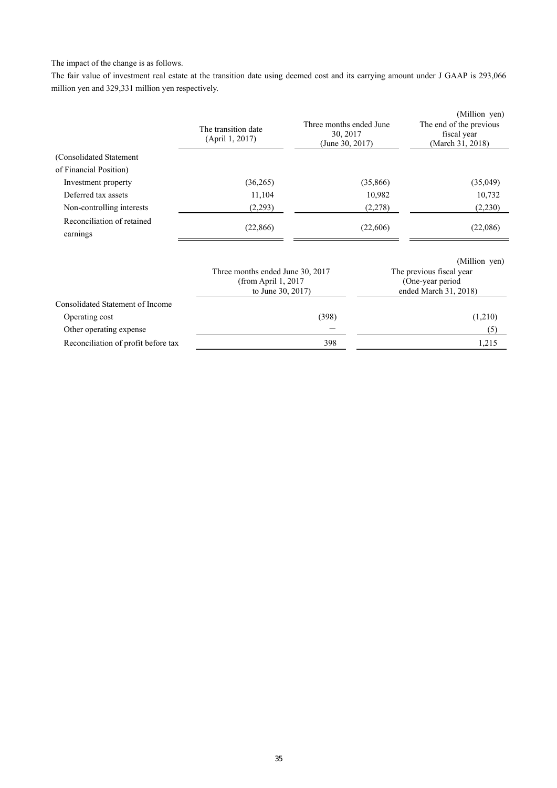### The impact of the change is as follows.

The fair value of investment real estate at the transition date using deemed cost and its carrying amount under J GAAP is 293,066 million yen and 329,331 million yen respectively.

|                                        | The transition date<br>(April 1, 2017)                                         | Three months ended June<br>30, 2017<br>(June 30, 2017) |           | (Million yen)<br>The end of the previous<br>fiscal year<br>(March 31, 2018)             |
|----------------------------------------|--------------------------------------------------------------------------------|--------------------------------------------------------|-----------|-----------------------------------------------------------------------------------------|
| (Consolidated Statement)               |                                                                                |                                                        |           |                                                                                         |
| of Financial Position)                 |                                                                                |                                                        |           |                                                                                         |
| Investment property                    | (36,265)                                                                       |                                                        | (35, 866) | (35,049)                                                                                |
| Deferred tax assets                    | 11,104                                                                         |                                                        | 10,982    | 10,732                                                                                  |
| Non-controlling interests              | (2,293)                                                                        |                                                        | (2,278)   | (2,230)                                                                                 |
| Reconciliation of retained<br>earnings | (22, 866)                                                                      |                                                        | (22,606)  | (22,086)                                                                                |
|                                        | Three months ended June 30, 2017<br>(from April $1, 2017$<br>to June 30, 2017) |                                                        |           | (Million yen)<br>The previous fiscal year<br>(One-year period)<br>ended March 31, 2018) |
| Consolidated Statement of Income       |                                                                                |                                                        |           |                                                                                         |
| Operating cost                         |                                                                                | (398)                                                  |           | (1,210)                                                                                 |
| Other operating expense                |                                                                                |                                                        |           | (5)                                                                                     |
| Reconciliation of profit before tax    |                                                                                | 398                                                    |           | 1,215                                                                                   |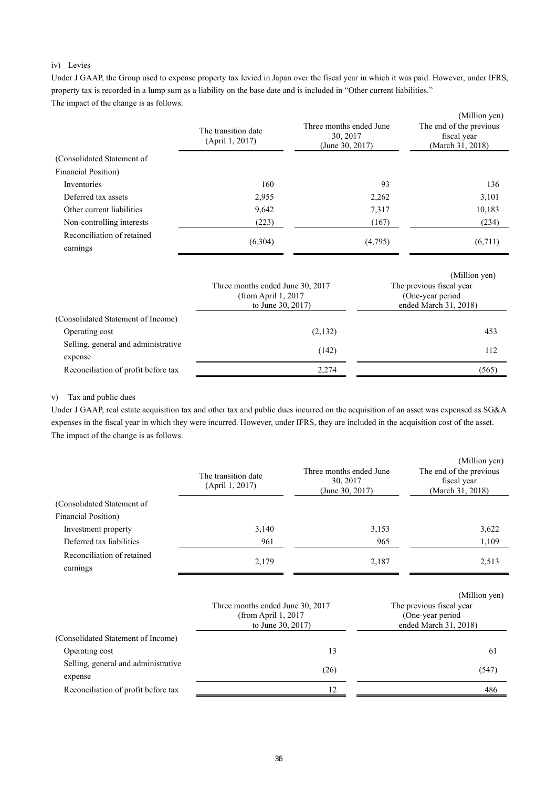### iv) Levies

Under J GAAP, the Group used to expense property tax levied in Japan over the fiscal year in which it was paid. However, under IFRS, property tax is recorded in a lump sum as a liability on the base date and is included in "Other current liabilities." The impact of the change is as follows.

|                                        | The transition date<br>(April 1, 2017)                                        | Three months ended June<br>30, 2017<br>(June 30, 2017) | (Million yen)<br>The end of the previous<br>fiscal year<br>(March 31, 2018)             |
|----------------------------------------|-------------------------------------------------------------------------------|--------------------------------------------------------|-----------------------------------------------------------------------------------------|
| (Consolidated Statement of             |                                                                               |                                                        |                                                                                         |
| <b>Financial Position</b> )            |                                                                               |                                                        |                                                                                         |
| Inventories                            | 160                                                                           | 93                                                     | 136                                                                                     |
| Deferred tax assets                    | 2,955                                                                         | 2,262                                                  | 3,101                                                                                   |
| Other current liabilities              | 9,642                                                                         | 7,317                                                  | 10,183                                                                                  |
| Non-controlling interests              | (223)                                                                         | (167)                                                  | (234)                                                                                   |
| Reconciliation of retained<br>earnings | (6,304)                                                                       | (4,795)                                                | (6,711)                                                                                 |
|                                        | Three months ended June 30, 2017<br>(from April 1, 2017)<br>to June 30, 2017) |                                                        | (Million yen)<br>The previous fiscal year<br>(One-year period)<br>ended March 31, 2018) |
| (Consolidated Statement of Income)     |                                                                               |                                                        |                                                                                         |

| Operating cost                                 | (2,132) | 453  |
|------------------------------------------------|---------|------|
| Selling, general and administrative<br>expense | (142)   |      |
| Reconciliation of profit before tax            | 2,274   | (565 |

### v) Tax and public dues

Under J GAAP, real estate acquisition tax and other tax and public dues incurred on the acquisition of an asset was expensed as SG&A expenses in the fiscal year in which they were incurred. However, under IFRS, they are included in the acquisition cost of the asset. The impact of the change is as follows.

|                                                | The transition date<br>(April 1, 2017)                                         | Three months ended June<br>30, 2017<br>(June 30, 2017) |       | (Million yen)<br>The end of the previous<br>fiscal year<br>(March 31, 2018)             |
|------------------------------------------------|--------------------------------------------------------------------------------|--------------------------------------------------------|-------|-----------------------------------------------------------------------------------------|
| (Consolidated Statement of                     |                                                                                |                                                        |       |                                                                                         |
| <b>Financial Position</b> )                    |                                                                                |                                                        |       |                                                                                         |
| Investment property                            | 3,140                                                                          |                                                        | 3,153 | 3,622                                                                                   |
| Deferred tax liabilities                       | 961                                                                            |                                                        | 965   | 1,109                                                                                   |
| Reconciliation of retained<br>earnings         | 2,179                                                                          |                                                        | 2,187 | 2,513                                                                                   |
|                                                | Three months ended June 30, 2017<br>(from April $1, 2017$<br>to June 30, 2017) |                                                        |       | (Million yen)<br>The previous fiscal year<br>(One-year period)<br>ended March 31, 2018) |
| (Consolidated Statement of Income)             |                                                                                |                                                        |       |                                                                                         |
| Operating cost                                 |                                                                                | 13                                                     |       | 61                                                                                      |
| Selling, general and administrative<br>expense |                                                                                | (26)                                                   |       | (547)                                                                                   |
| Reconciliation of profit before tax            |                                                                                | 12                                                     |       | 486                                                                                     |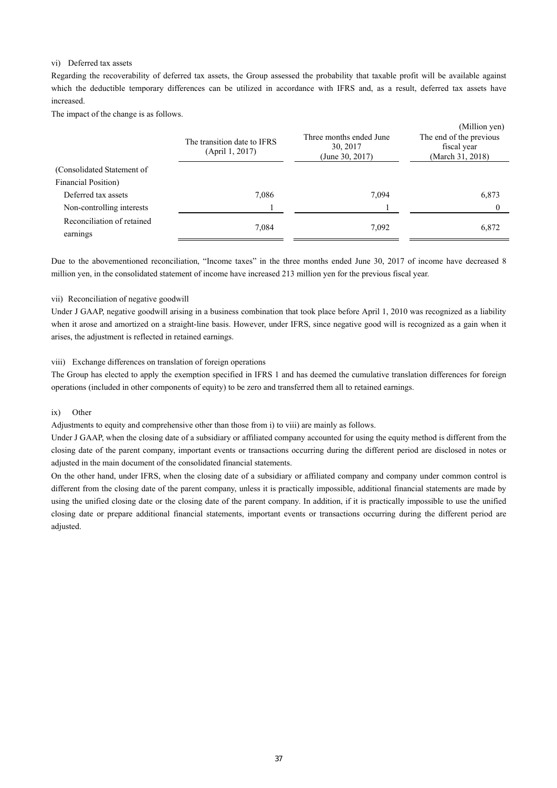#### vi) Deferred tax assets

Regarding the recoverability of deferred tax assets, the Group assessed the probability that taxable profit will be available against which the deductible temporary differences can be utilized in accordance with IFRS and, as a result, deferred tax assets have increased.

The impact of the change is as follows.

| The transition date to IFRS<br>(April 1, 2017) | Three months ended June<br>30, 2017<br>(June 30, 2017) | (Million yen)<br>The end of the previous<br>fiscal year<br>(March 31, 2018) |
|------------------------------------------------|--------------------------------------------------------|-----------------------------------------------------------------------------|
|                                                |                                                        |                                                                             |
|                                                |                                                        |                                                                             |
| 7,086                                          | 7,094                                                  | 6,873                                                                       |
|                                                |                                                        |                                                                             |
| 7,084                                          | 7,092                                                  | 6,872                                                                       |
|                                                |                                                        |                                                                             |

Due to the abovementioned reconciliation, "Income taxes" in the three months ended June 30, 2017 of income have decreased 8 million yen, in the consolidated statement of income have increased 213 million yen for the previous fiscal year.

#### vii) Reconciliation of negative goodwill

Under J GAAP, negative goodwill arising in a business combination that took place before April 1, 2010 was recognized as a liability when it arose and amortized on a straight-line basis. However, under IFRS, since negative good will is recognized as a gain when it arises, the adjustment is reflected in retained earnings.

### viii) Exchange differences on translation of foreign operations

The Group has elected to apply the exemption specified in IFRS 1 and has deemed the cumulative translation differences for foreign operations (included in other components of equity) to be zero and transferred them all to retained earnings.

#### ix) Other

Adjustments to equity and comprehensive other than those from i) to viii) are mainly as follows.

Under J GAAP, when the closing date of a subsidiary or affiliated company accounted for using the equity method is different from the closing date of the parent company, important events or transactions occurring during the different period are disclosed in notes or adjusted in the main document of the consolidated financial statements.

On the other hand, under IFRS, when the closing date of a subsidiary or affiliated company and company under common control is different from the closing date of the parent company, unless it is practically impossible, additional financial statements are made by using the unified closing date or the closing date of the parent company. In addition, if it is practically impossible to use the unified closing date or prepare additional financial statements, important events or transactions occurring during the different period are adjusted.